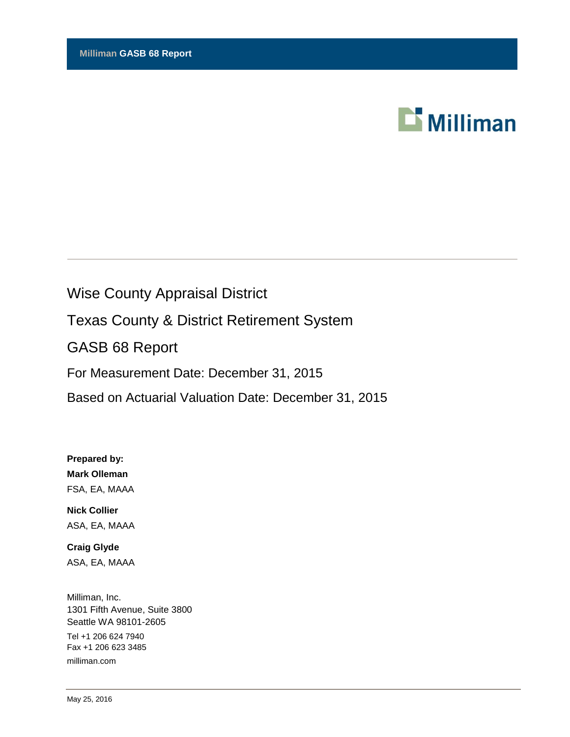

# Wise County Appraisal District Texas County & District Retirement System GASB 68 Report For Measurement Date: December 31, 2015 Based on Actuarial Valuation Date: December 31, 2015

**Prepared by: Mark Olleman** FSA, EA, MAAA

**Nick Collier** ASA, EA, MAAA

**Craig Glyde** ASA, EA, MAAA

Milliman, Inc. 1301 Fifth Avenue, Suite 3800 Seattle WA 98101-2605 Tel +1 206 624 7940 Fax +1 206 623 3485 milliman.com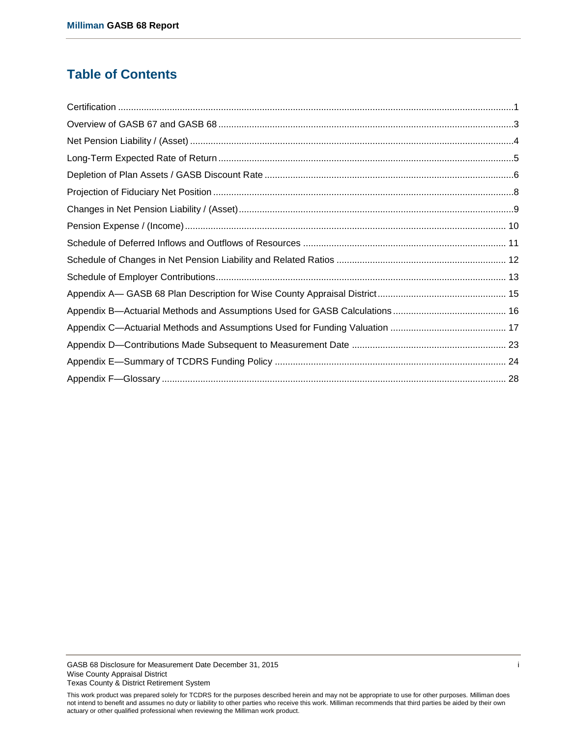# **Table of Contents**

This work product was prepared solely for TCDRS for the purposes described herein and may not be appropriate to use for other purposes. Milliman does not intend to benefit and assumes no duty or liability to other parties who receive this work. Milliman recommends that third parties be aided by their own actuary or other qualified professional when reviewing the Milliman work product.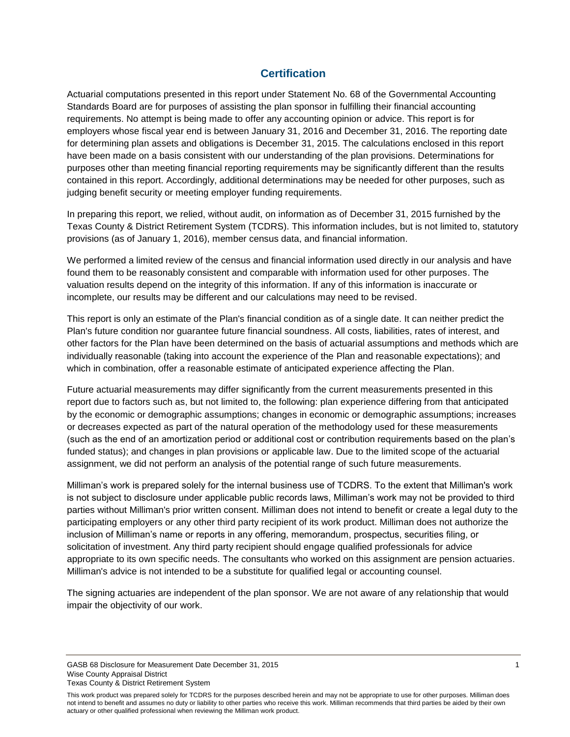# **Certification**

<span id="page-2-0"></span>Actuarial computations presented in this report under Statement No. 68 of the Governmental Accounting Standards Board are for purposes of assisting the plan sponsor in fulfilling their financial accounting requirements. No attempt is being made to offer any accounting opinion or advice. This report is for employers whose fiscal year end is between January 31, 2016 and December 31, 2016. The reporting date for determining plan assets and obligations is December 31, 2015. The calculations enclosed in this report have been made on a basis consistent with our understanding of the plan provisions. Determinations for purposes other than meeting financial reporting requirements may be significantly different than the results contained in this report. Accordingly, additional determinations may be needed for other purposes, such as judging benefit security or meeting employer funding requirements.

In preparing this report, we relied, without audit, on information as of December 31, 2015 furnished by the Texas County & District Retirement System (TCDRS). This information includes, but is not limited to, statutory provisions (as of January 1, 2016), member census data, and financial information.

We performed a limited review of the census and financial information used directly in our analysis and have found them to be reasonably consistent and comparable with information used for other purposes. The valuation results depend on the integrity of this information. If any of this information is inaccurate or incomplete, our results may be different and our calculations may need to be revised.

This report is only an estimate of the Plan's financial condition as of a single date. It can neither predict the Plan's future condition nor guarantee future financial soundness. All costs, liabilities, rates of interest, and other factors for the Plan have been determined on the basis of actuarial assumptions and methods which are individually reasonable (taking into account the experience of the Plan and reasonable expectations); and which in combination, offer a reasonable estimate of anticipated experience affecting the Plan.

Future actuarial measurements may differ significantly from the current measurements presented in this report due to factors such as, but not limited to, the following: plan experience differing from that anticipated by the economic or demographic assumptions; changes in economic or demographic assumptions; increases or decreases expected as part of the natural operation of the methodology used for these measurements (such as the end of an amortization period or additional cost or contribution requirements based on the plan's funded status); and changes in plan provisions or applicable law. Due to the limited scope of the actuarial assignment, we did not perform an analysis of the potential range of such future measurements.

Milliman's work is prepared solely for the internal business use of TCDRS. To the extent that Milliman's work is not subject to disclosure under applicable public records laws, Milliman's work may not be provided to third parties without Milliman's prior written consent. Milliman does not intend to benefit or create a legal duty to the participating employers or any other third party recipient of its work product. Milliman does not authorize the inclusion of Milliman's name or reports in any offering, memorandum, prospectus, securities filing, or solicitation of investment. Any third party recipient should engage qualified professionals for advice appropriate to its own specific needs. The consultants who worked on this assignment are pension actuaries. Milliman's advice is not intended to be a substitute for qualified legal or accounting counsel.

The signing actuaries are independent of the plan sponsor. We are not aware of any relationship that would impair the objectivity of our work.

GASB 68 Disclosure for Measurement Date December 31, 2015 1 Wise County Appraisal District Texas County & District Retirement System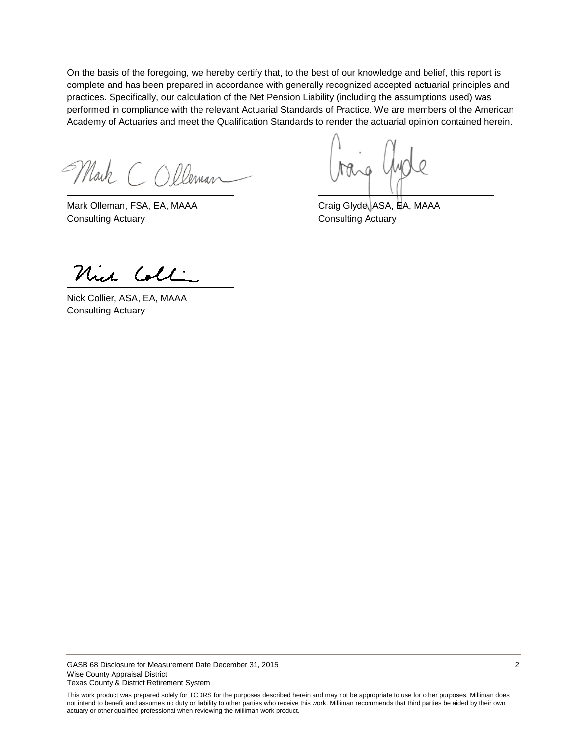On the basis of the foregoing, we hereby certify that, to the best of our knowledge and belief, this report is complete and has been prepared in accordance with generally recognized accepted actuarial principles and practices. Specifically, our calculation of the Net Pension Liability (including the assumptions used) was performed in compliance with the relevant Actuarial Standards of Practice. We are members of the American Academy of Actuaries and meet the Qualification Standards to render the actuarial opinion contained herein.

Mark COlleman

Mark Olleman, FSA, EA, MAAA Craig Glyde, ASA, EA, MAAA Consulting Actuary Consulting Actuary

Nich Colli

Nick Collier, ASA, EA, MAAA Consulting Actuary

GASB 68 Disclosure for Measurement Date December 31, 2015 **2** 2 Wise County Appraisal District Texas County & District Retirement System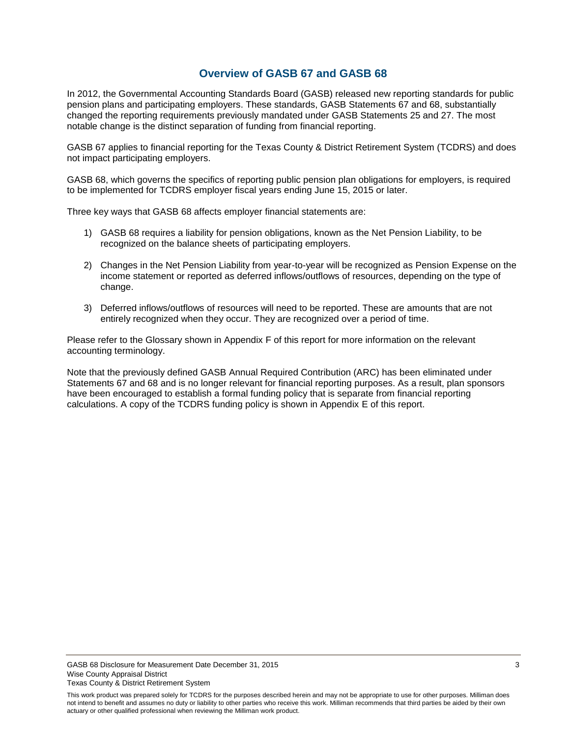# **Overview of GASB 67 and GASB 68**

<span id="page-4-0"></span>In 2012, the Governmental Accounting Standards Board (GASB) released new reporting standards for public pension plans and participating employers. These standards, GASB Statements 67 and 68, substantially changed the reporting requirements previously mandated under GASB Statements 25 and 27. The most notable change is the distinct separation of funding from financial reporting.

GASB 67 applies to financial reporting for the Texas County & District Retirement System (TCDRS) and does not impact participating employers.

GASB 68, which governs the specifics of reporting public pension plan obligations for employers, is required to be implemented for TCDRS employer fiscal years ending June 15, 2015 or later.

Three key ways that GASB 68 affects employer financial statements are:

- 1) GASB 68 requires a liability for pension obligations, known as the Net Pension Liability, to be recognized on the balance sheets of participating employers.
- 2) Changes in the Net Pension Liability from year-to-year will be recognized as Pension Expense on the income statement or reported as deferred inflows/outflows of resources, depending on the type of change.
- 3) Deferred inflows/outflows of resources will need to be reported. These are amounts that are not entirely recognized when they occur. They are recognized over a period of time.

Please refer to the Glossary shown in Appendix F of this report for more information on the relevant accounting terminology.

Note that the previously defined GASB Annual Required Contribution (ARC) has been eliminated under Statements 67 and 68 and is no longer relevant for financial reporting purposes. As a result, plan sponsors have been encouraged to establish a formal funding policy that is separate from financial reporting calculations. A copy of the TCDRS funding policy is shown in Appendix E of this report.

This work product was prepared solely for TCDRS for the purposes described herein and may not be appropriate to use for other purposes. Milliman does not intend to benefit and assumes no duty or liability to other parties who receive this work. Milliman recommends that third parties be aided by their own actuary or other qualified professional when reviewing the Milliman work product.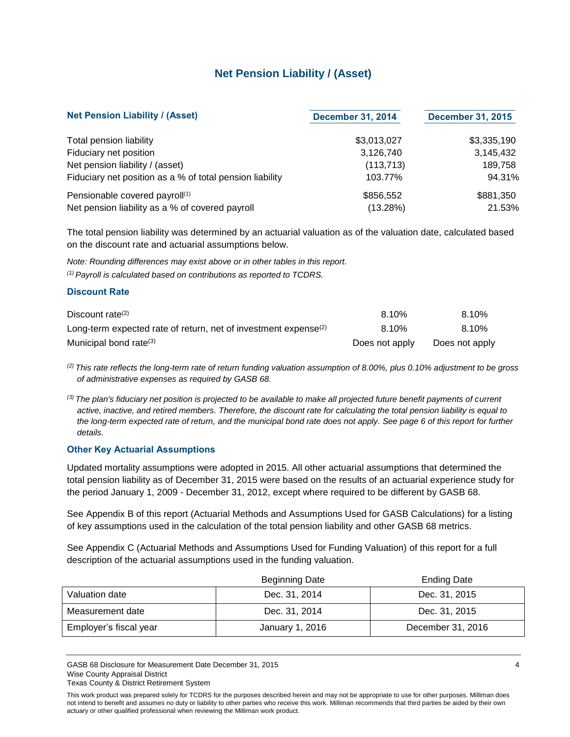# **Net Pension Liability / (Asset)**

<span id="page-5-0"></span>

| <b>Net Pension Liability / (Asset)</b>                   | <b>December 31, 2014</b> | <b>December 31, 2015</b> |
|----------------------------------------------------------|--------------------------|--------------------------|
| Total pension liability                                  | \$3,013,027              | \$3,335,190              |
| Fiduciary net position                                   | 3,126,740                | 3,145,432                |
| Net pension liability / (asset)                          | (113, 713)               | 189.758                  |
| Fiduciary net position as a % of total pension liability | 103.77%                  | 94.31%                   |
| Pensionable covered payroll <sup>(1)</sup>               | \$856,552                | \$881,350                |
| Net pension liability as a % of covered payroll          | (13.28%)                 | 21.53%                   |

The total pension liability was determined by an actuarial valuation as of the valuation date, calculated based on the discount rate and actuarial assumptions below.

*Note: Rounding differences may exist above or in other tables in this report. (1) Payroll is calculated based on contributions as reported to TCDRS.*

#### **Discount Rate**

| Discount rate <sup>(2)</sup>                                                | 8.10%          | 8.10%          |
|-----------------------------------------------------------------------------|----------------|----------------|
| Long-term expected rate of return, net of investment expense <sup>(2)</sup> | 8.10%          | 8.10%          |
| Municipal bond rate <sup>(3)</sup>                                          | Does not apply | Does not apply |

*(2) This rate reflects the long-term rate of return funding valuation assumption of 8.00%, plus 0.10% adjustment to be gross of administrative expenses as required by GASB 68.*

*(3) The plan's fiduciary net position is projected to be available to make all projected future benefit payments of current active, inactive, and retired members. Therefore, the discount rate for calculating the total pension liability is equal to the long-term expected rate of return, and the municipal bond rate does not apply. See page 6 of this report for further details.*

### **Other Key Actuarial Assumptions**

Updated mortality assumptions were adopted in 2015. All other actuarial assumptions that determined the total pension liability as of December 31, 2015 were based on the results of an actuarial experience study for the period January 1, 2009 - December 31, 2012, except where required to be different by GASB 68.

See Appendix B of this report (Actuarial Methods and Assumptions Used for GASB Calculations) for a listing of key assumptions used in the calculation of the total pension liability and other GASB 68 metrics.

See Appendix C (Actuarial Methods and Assumptions Used for Funding Valuation) of this report for a full description of the actuarial assumptions used in the funding valuation.

|                        | <b>Beginning Date</b> | <b>Ending Date</b> |
|------------------------|-----------------------|--------------------|
| Valuation date         | Dec. 31, 2014         | Dec. 31, 2015      |
| Measurement date       | Dec. 31, 2014         | Dec. 31, 2015      |
| Employer's fiscal year | January 1, 2016       | December 31, 2016  |

GASB 68 Disclosure for Measurement Date December 31, 2015 4 American control of the US and the US and the US and the US and the US and the US and the US and the US and the US and the US and the US and the US and the US and Wise County Appraisal District Texas County & District Retirement System

This work product was prepared solely for TCDRS for the purposes described herein and may not be appropriate to use for other purposes. Milliman does not intend to benefit and assumes no duty or liability to other parties who receive this work. Milliman recommends that third parties be aided by their own actuary or other qualified professional when reviewing the Milliman work product.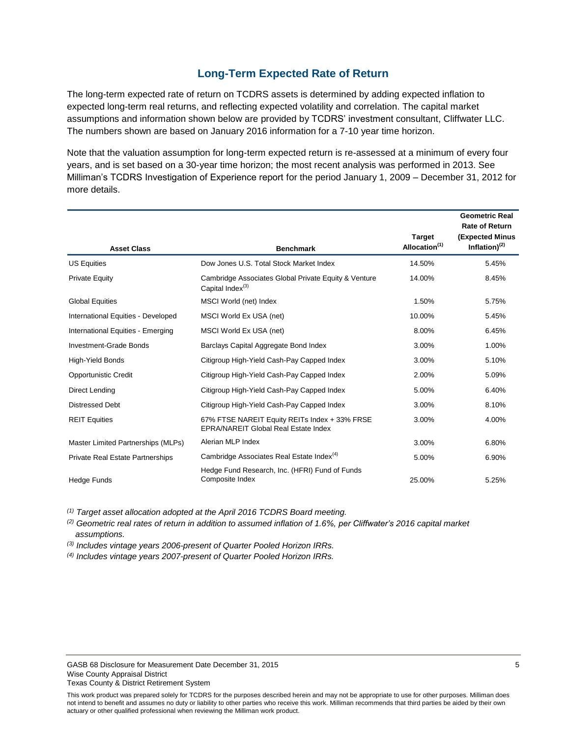# **Long-Term Expected Rate of Return**

<span id="page-6-0"></span>The long-term expected rate of return on TCDRS assets is determined by adding expected inflation to expected long-term real returns, and reflecting expected volatility and correlation. The capital market assumptions and information shown below are provided by TCDRS' investment consultant, Cliffwater LLC. The numbers shown are based on January 2016 information for a 7-10 year time horizon.

Note that the valuation assumption for long-term expected return is re-assessed at a minimum of every four years, and is set based on a 30-year time horizon; the most recent analysis was performed in 2013. See Milliman's TCDRS Investigation of Experience report for the period January 1, 2009 – December 31, 2012 for more details.

|                                         |                                                                                       |                                            | <b>Geometric Real</b><br><b>Rate of Return</b> |
|-----------------------------------------|---------------------------------------------------------------------------------------|--------------------------------------------|------------------------------------------------|
| <b>Asset Class</b>                      | <b>Benchmark</b>                                                                      | <b>Target</b><br>Allocation <sup>(1)</sup> | (Expected Minus<br>Inflation) $(2)$            |
| <b>US Equities</b>                      | Dow Jones U.S. Total Stock Market Index                                               | 14.50%                                     | 5.45%                                          |
| <b>Private Equity</b>                   | Cambridge Associates Global Private Equity & Venture<br>Capital Index <sup>(3)</sup>  | 14.00%                                     | 8.45%                                          |
| <b>Global Equities</b>                  | MSCI World (net) Index                                                                | 1.50%                                      | 5.75%                                          |
| International Equities - Developed      | MSCI World Ex USA (net)                                                               | 10.00%                                     | 5.45%                                          |
| International Equities - Emerging       | MSCI World Ex USA (net)                                                               | 8.00%                                      | 6.45%                                          |
| Investment-Grade Bonds                  | Barclays Capital Aggregate Bond Index                                                 | 3.00%                                      | 1.00%                                          |
| <b>High-Yield Bonds</b>                 | Citigroup High-Yield Cash-Pay Capped Index                                            | 3.00%                                      | 5.10%                                          |
| <b>Opportunistic Credit</b>             | Citigroup High-Yield Cash-Pay Capped Index                                            | 2.00%                                      | 5.09%                                          |
| Direct Lending                          | Citigroup High-Yield Cash-Pay Capped Index                                            | 5.00%                                      | 6.40%                                          |
| <b>Distressed Debt</b>                  | Citigroup High-Yield Cash-Pay Capped Index                                            | 3.00%                                      | 8.10%                                          |
| <b>REIT Equities</b>                    | 67% FTSE NAREIT Equity REITs Index + 33% FRSE<br>EPRA/NAREIT Global Real Estate Index | 3.00%                                      | 4.00%                                          |
| Master Limited Partnerships (MLPs)      | Alerian MLP Index                                                                     | 3.00%                                      | 6.80%                                          |
| <b>Private Real Estate Partnerships</b> | Cambridge Associates Real Estate Index <sup>(4)</sup>                                 | 5.00%                                      | 6.90%                                          |
| Hedge Funds                             | Hedge Fund Research, Inc. (HFRI) Fund of Funds<br>Composite Index                     | 25.00%                                     | 5.25%                                          |

*(1) Target asset allocation adopted at the April 2016 TCDRS Board meeting.*

*(2) Geometric real rates of return in addition to assumed inflation of 1.6%, per Cliffwater's 2016 capital market assumptions.*

*(3) Includes vintage years 2006-present of Quarter Pooled Horizon IRRs.*

*(4) Includes vintage years 2007-present of Quarter Pooled Horizon IRRs.*

This work product was prepared solely for TCDRS for the purposes described herein and may not be appropriate to use for other purposes. Milliman does not intend to benefit and assumes no duty or liability to other parties who receive this work. Milliman recommends that third parties be aided by their own actuary or other qualified professional when reviewing the Milliman work product.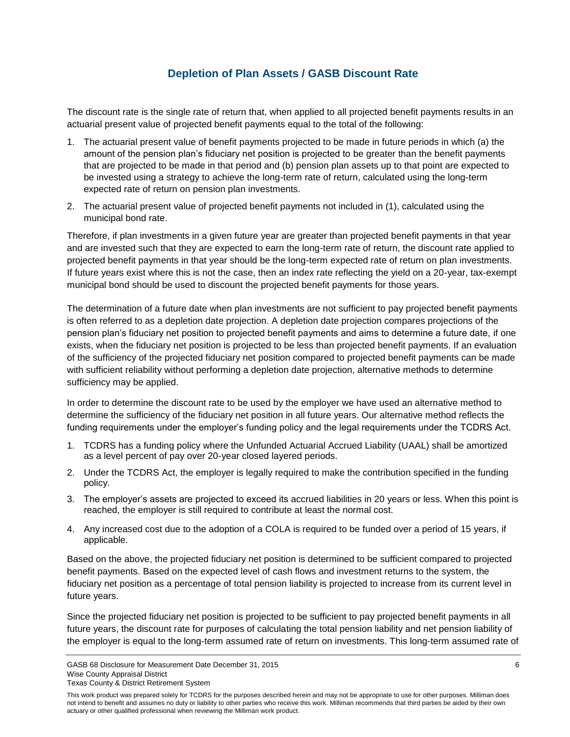# **Depletion of Plan Assets / GASB Discount Rate**

<span id="page-7-0"></span>The discount rate is the single rate of return that, when applied to all projected benefit payments results in an actuarial present value of projected benefit payments equal to the total of the following:

- 1. The actuarial present value of benefit payments projected to be made in future periods in which (a) the amount of the pension plan's fiduciary net position is projected to be greater than the benefit payments that are projected to be made in that period and (b) pension plan assets up to that point are expected to be invested using a strategy to achieve the long-term rate of return, calculated using the long-term expected rate of return on pension plan investments.
- 2. The actuarial present value of projected benefit payments not included in (1), calculated using the municipal bond rate.

Therefore, if plan investments in a given future year are greater than projected benefit payments in that year and are invested such that they are expected to earn the long-term rate of return, the discount rate applied to projected benefit payments in that year should be the long-term expected rate of return on plan investments. If future years exist where this is not the case, then an index rate reflecting the yield on a 20-year, tax-exempt municipal bond should be used to discount the projected benefit payments for those years.

The determination of a future date when plan investments are not sufficient to pay projected benefit payments is often referred to as a depletion date projection. A depletion date projection compares projections of the pension plan's fiduciary net position to projected benefit payments and aims to determine a future date, if one exists, when the fiduciary net position is projected to be less than projected benefit payments. If an evaluation of the sufficiency of the projected fiduciary net position compared to projected benefit payments can be made with sufficient reliability without performing a depletion date projection, alternative methods to determine sufficiency may be applied.

In order to determine the discount rate to be used by the employer we have used an alternative method to determine the sufficiency of the fiduciary net position in all future years. Our alternative method reflects the funding requirements under the employer's funding policy and the legal requirements under the TCDRS Act.

- 1. TCDRS has a funding policy where the Unfunded Actuarial Accrued Liability (UAAL) shall be amortized as a level percent of pay over 20-year closed layered periods.
- 2. Under the TCDRS Act, the employer is legally required to make the contribution specified in the funding policy.
- 3. The employer's assets are projected to exceed its accrued liabilities in 20 years or less. When this point is reached, the employer is still required to contribute at least the normal cost.
- 4. Any increased cost due to the adoption of a COLA is required to be funded over a period of 15 years, if applicable.

Based on the above, the projected fiduciary net position is determined to be sufficient compared to projected benefit payments. Based on the expected level of cash flows and investment returns to the system, the fiduciary net position as a percentage of total pension liability is projected to increase from its current level in future years.

Since the projected fiduciary net position is projected to be sufficient to pay projected benefit payments in all future years, the discount rate for purposes of calculating the total pension liability and net pension liability of the employer is equal to the long-term assumed rate of return on investments. This long-term assumed rate of

GASB 68 Disclosure for Measurement Date December 31, 2015 **6** 6 **GASB 6** 6 Wise County Appraisal District

Texas County & District Retirement System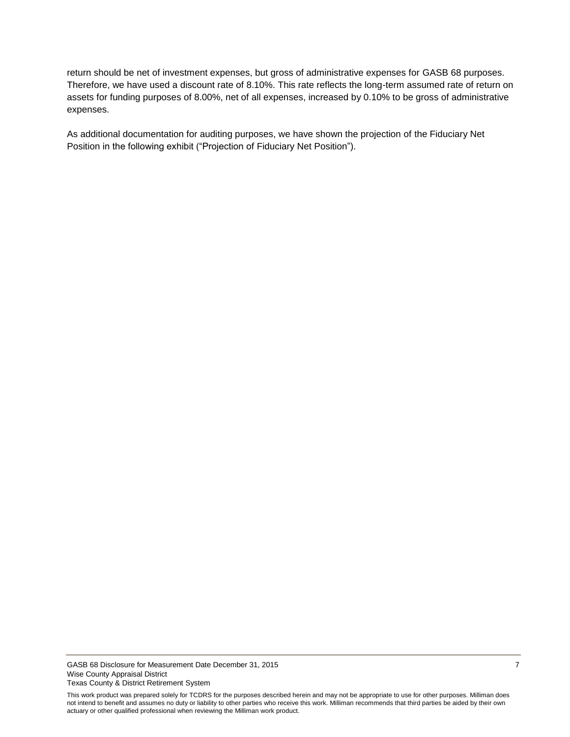return should be net of investment expenses, but gross of administrative expenses for GASB 68 purposes. Therefore, we have used a discount rate of 8.10%. This rate reflects the long-term assumed rate of return on assets for funding purposes of 8.00%, net of all expenses, increased by 0.10% to be gross of administrative expenses.

As additional documentation for auditing purposes, we have shown the projection of the Fiduciary Net Position in the following exhibit ("Projection of Fiduciary Net Position").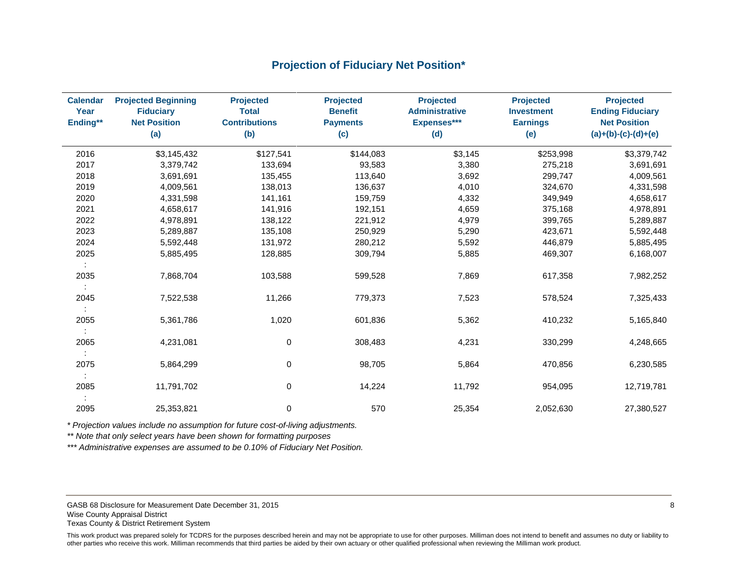# **Projection of Fiduciary Net Position\***

<span id="page-9-0"></span>

| <b>Calendar</b><br>Year<br>Ending** | <b>Projected Beginning</b><br><b>Fiduciary</b><br><b>Net Position</b><br>(a) | <b>Projected</b><br><b>Total</b><br><b>Contributions</b><br>(b) | <b>Projected</b><br><b>Benefit</b><br><b>Payments</b><br>(c) | <b>Projected</b><br><b>Administrative</b><br>Expenses***<br>(d) | <b>Projected</b><br><b>Investment</b><br><b>Earnings</b><br>(e) | <b>Projected</b><br><b>Ending Fiduciary</b><br><b>Net Position</b><br>$(a)+(b)-(c)-(d)+(e)$ |
|-------------------------------------|------------------------------------------------------------------------------|-----------------------------------------------------------------|--------------------------------------------------------------|-----------------------------------------------------------------|-----------------------------------------------------------------|---------------------------------------------------------------------------------------------|
| 2016                                | \$3,145,432                                                                  | \$127,541                                                       | \$144,083                                                    | \$3,145                                                         | \$253,998                                                       | \$3,379,742                                                                                 |
| 2017                                | 3,379,742                                                                    | 133,694                                                         | 93,583                                                       | 3,380                                                           | 275,218                                                         | 3,691,691                                                                                   |
| 2018                                | 3,691,691                                                                    | 135,455                                                         | 113,640                                                      | 3,692                                                           | 299,747                                                         | 4,009,561                                                                                   |
| 2019                                | 4,009,561                                                                    | 138,013                                                         | 136,637                                                      | 4,010                                                           | 324,670                                                         | 4,331,598                                                                                   |
| 2020                                | 4,331,598                                                                    | 141,161                                                         | 159,759                                                      | 4,332                                                           | 349,949                                                         | 4,658,617                                                                                   |
| 2021                                | 4,658,617                                                                    | 141,916                                                         | 192,151                                                      | 4,659                                                           | 375,168                                                         | 4,978,891                                                                                   |
| 2022                                | 4,978,891                                                                    | 138,122                                                         | 221,912                                                      | 4,979                                                           | 399,765                                                         | 5,289,887                                                                                   |
| 2023                                | 5,289,887                                                                    | 135,108                                                         | 250,929                                                      | 5,290                                                           | 423,671                                                         | 5,592,448                                                                                   |
| 2024                                | 5,592,448                                                                    | 131,972                                                         | 280,212                                                      | 5,592                                                           | 446,879                                                         | 5,885,495                                                                                   |
| 2025                                | 5,885,495                                                                    | 128,885                                                         | 309,794                                                      | 5,885                                                           | 469,307                                                         | 6,168,007                                                                                   |
| ÷                                   |                                                                              |                                                                 |                                                              |                                                                 |                                                                 |                                                                                             |
| 2035                                | 7,868,704                                                                    | 103,588                                                         | 599,528                                                      | 7,869                                                           | 617,358                                                         | 7,982,252                                                                                   |
| 2045                                | 7,522,538                                                                    | 11,266                                                          | 779,373                                                      | 7,523                                                           | 578,524                                                         | 7,325,433                                                                                   |
|                                     |                                                                              |                                                                 |                                                              |                                                                 |                                                                 |                                                                                             |
| 2055                                | 5,361,786                                                                    | 1,020                                                           | 601,836                                                      | 5,362                                                           | 410,232                                                         | 5,165,840                                                                                   |
| 2065                                | 4,231,081                                                                    | $\mathbf 0$                                                     | 308,483                                                      | 4,231                                                           | 330,299                                                         | 4,248,665                                                                                   |
| 2075                                | 5,864,299                                                                    | $\mathbf 0$                                                     | 98,705                                                       | 5,864                                                           | 470,856                                                         | 6,230,585                                                                                   |
|                                     |                                                                              |                                                                 |                                                              |                                                                 |                                                                 |                                                                                             |
| 2085                                | 11,791,702                                                                   | 0                                                               | 14,224                                                       | 11,792                                                          | 954,095                                                         | 12,719,781                                                                                  |
| 2095                                | 25,353,821                                                                   | 0                                                               | 570                                                          | 25,354                                                          | 2,052,630                                                       | 27,380,527                                                                                  |

*\* Projection values include no assumption for future cost-of-living adjustments.*

*\*\* Note that only select years have been shown for formatting purposes* 

*\*\*\* Administrative expenses are assumed to be 0.10% of Fiduciary Net Position.*

GASB 68 Disclosure for Measurement Date December 31, 2015 **8** 8 Wise County Appraisal District Texas County & District Retirement System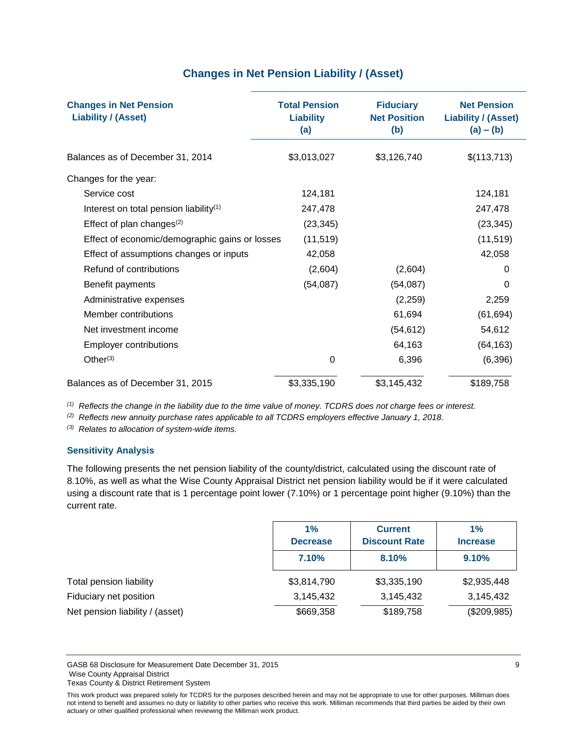# **Changes in Net Pension Liability / (Asset)**

<span id="page-10-0"></span>

| <b>Changes in Net Pension</b><br><b>Liability / (Asset)</b> | <b>Total Pension</b><br><b>Liability</b><br>(a) | <b>Fiduciary</b><br><b>Net Position</b><br>(b) | <b>Net Pension</b><br><b>Liability / (Asset)</b><br>$(a) - (b)$ |
|-------------------------------------------------------------|-------------------------------------------------|------------------------------------------------|-----------------------------------------------------------------|
| Balances as of December 31, 2014                            | \$3,013,027                                     | \$3,126,740                                    | \$(113,713)                                                     |
| Changes for the year:                                       |                                                 |                                                |                                                                 |
| Service cost                                                | 124,181                                         |                                                | 124,181                                                         |
| Interest on total pension liability <sup>(1)</sup>          | 247,478                                         |                                                | 247,478                                                         |
| Effect of plan changes $(2)$                                | (23, 345)                                       |                                                | (23, 345)                                                       |
| Effect of economic/demographic gains or losses              | (11, 519)                                       |                                                | (11, 519)                                                       |
| Effect of assumptions changes or inputs                     | 42,058                                          |                                                | 42,058                                                          |
| Refund of contributions                                     | (2,604)                                         | (2,604)                                        | 0                                                               |
| Benefit payments                                            | (54,087)                                        | (54,087)                                       | $\Omega$                                                        |
| Administrative expenses                                     |                                                 | (2,259)                                        | 2,259                                                           |
| Member contributions                                        |                                                 | 61,694                                         | (61, 694)                                                       |
| Net investment income                                       |                                                 | (54, 612)                                      | 54,612                                                          |
| <b>Employer contributions</b>                               |                                                 | 64,163                                         | (64, 163)                                                       |
| Other $(3)$                                                 | 0                                               | 6,396                                          | (6, 396)                                                        |
| Balances as of December 31, 2015                            | \$3,335,190                                     | \$3,145,432                                    | \$189,758                                                       |

*(1) Reflects the change in the liability due to the time value of money. TCDRS does not charge fees or interest.* 

*(2) Reflects new annuity purchase rates applicable to all TCDRS employers effective January 1, 2018.*

*(3) Relates to allocation of system-wide items.*

# **Sensitivity Analysis**

The following presents the net pension liability of the county/district, calculated using the discount rate of 8.10%, as well as what the Wise County Appraisal District net pension liability would be if it were calculated using a discount rate that is 1 percentage point lower (7.10%) or 1 percentage point higher (9.10%) than the current rate.

|                                 | 1%<br><b>Decrease</b> | <b>Current</b><br><b>Discount Rate</b> | 1%<br><b>Increase</b> |
|---------------------------------|-----------------------|----------------------------------------|-----------------------|
|                                 | 7.10%                 | 8.10%                                  | 9.10%                 |
| Total pension liability         | \$3,814,790           | \$3,335,190                            | \$2,935,448           |
| Fiduciary net position          | 3,145,432             | 3,145,432                              | 3,145,432             |
| Net pension liability / (asset) | \$669,358             | \$189,758                              | (\$209,985)           |

GASB 68 Disclosure for Measurement Date December 31, 2015 9 Wise County Appraisal District Texas County & District Retirement System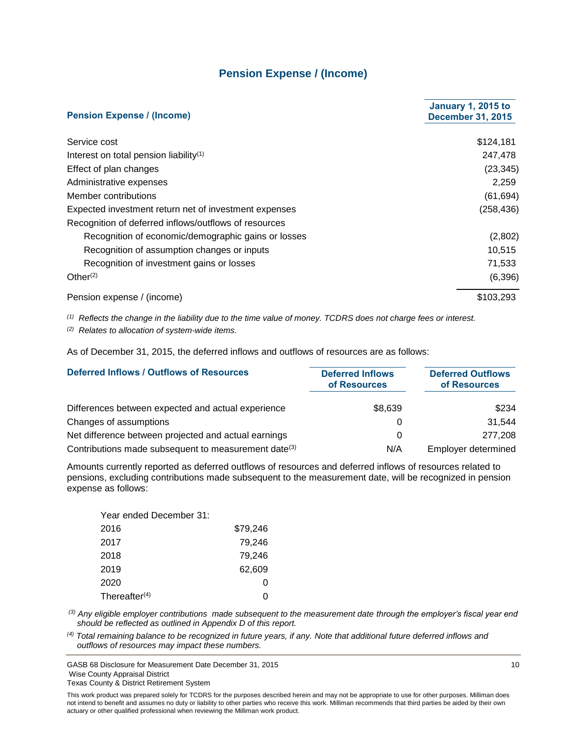# **Pension Expense / (Income)**

<span id="page-11-0"></span>

| <b>Pension Expense / (Income)</b>                     | <b>January 1, 2015 to</b><br><b>December 31, 2015</b> |
|-------------------------------------------------------|-------------------------------------------------------|
| Service cost                                          | \$124,181                                             |
| Interest on total pension liability <sup>(1)</sup>    | 247,478                                               |
| Effect of plan changes                                | (23, 345)                                             |
| Administrative expenses                               | 2,259                                                 |
| Member contributions                                  | (61, 694)                                             |
| Expected investment return net of investment expenses | (258, 436)                                            |
| Recognition of deferred inflows/outflows of resources |                                                       |
| Recognition of economic/demographic gains or losses   | (2,802)                                               |
| Recognition of assumption changes or inputs           | 10,515                                                |
| Recognition of investment gains or losses             | 71,533                                                |
| Other <sup>(2)</sup>                                  | (6,396)                                               |
| Pension expense / (income)                            | \$103,293                                             |

*(1) Reflects the change in the liability due to the time value of money. TCDRS does not charge fees or interest.*

*(2) Relates to allocation of system-wide items.*

As of December 31, 2015, the deferred inflows and outflows of resources are as follows:

| <b>Deferred Inflows / Outflows of Resources</b>                  | <b>Deferred Inflows</b><br>of Resources | <b>Deferred Outflows</b><br>of Resources |
|------------------------------------------------------------------|-----------------------------------------|------------------------------------------|
| Differences between expected and actual experience               | \$8,639                                 | \$234                                    |
| Changes of assumptions                                           | O                                       | 31.544                                   |
| Net difference between projected and actual earnings             | 0                                       | 277,208                                  |
| Contributions made subsequent to measurement date <sup>(3)</sup> | N/A                                     | Employer determined                      |

Amounts currently reported as deferred outflows of resources and deferred inflows of resources related to pensions, excluding contributions made subsequent to the measurement date, will be recognized in pension expense as follows:

| Year ended December 31: |          |
|-------------------------|----------|
| 2016                    | \$79,246 |
| 2017                    | 79,246   |
| 2018                    | 79.246   |
| 2019                    | 62,609   |
| 2020                    | 0        |
| Thereafter $(4)$        |          |

*(3) Any eligible employer contributions made subsequent to the measurement date through the employer's fiscal year end should be reflected as outlined in Appendix D of this report.* 

*(4) Total remaining balance to be recognized in future years, if any. Note that additional future deferred inflows and outflows of resources may impact these numbers.*

GASB 68 Disclosure for Measurement Date December 31, 2015 10 Wise County Appraisal District Texas County & District Retirement System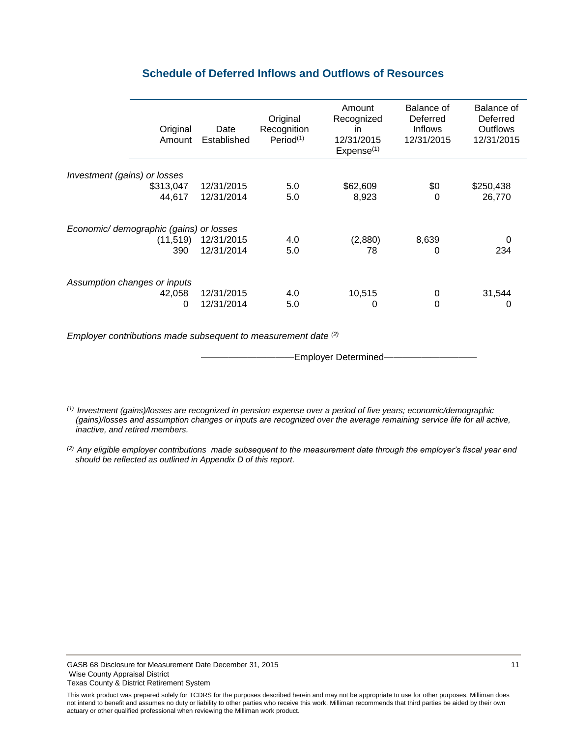<span id="page-12-0"></span>

| Original<br>Amount                      | Date<br>Established | Original<br>Recognition<br>Period <sup>(1)</sup> | Amount<br>Recognized<br>in<br>12/31/2015<br>Expense <sup>(1)</sup> | Balance of<br>Deferred<br><b>Inflows</b><br>12/31/2015 | Balance of<br>Deferred<br>Outflows<br>12/31/2015 |
|-----------------------------------------|---------------------|--------------------------------------------------|--------------------------------------------------------------------|--------------------------------------------------------|--------------------------------------------------|
|                                         |                     |                                                  |                                                                    |                                                        |                                                  |
| Investment (gains) or losses            |                     |                                                  |                                                                    |                                                        |                                                  |
| \$313,047                               | 12/31/2015          | 5.0                                              | \$62,609                                                           | \$0                                                    | \$250,438                                        |
| 44,617                                  | 12/31/2014          | 5.0                                              | 8,923                                                              | 0                                                      | 26,770                                           |
| Economic/ demographic (gains) or losses |                     |                                                  |                                                                    |                                                        |                                                  |
| (11, 519)                               | 12/31/2015          | 4.0                                              | (2,880)                                                            | 8,639                                                  | 0                                                |
|                                         | 12/31/2014          |                                                  |                                                                    |                                                        |                                                  |
| 390                                     |                     | 5.0                                              | 78                                                                 | 0                                                      | 234                                              |
| Assumption changes or inputs            |                     |                                                  |                                                                    |                                                        |                                                  |
| 42,058                                  | 12/31/2015          | 4.0                                              | 10,515                                                             | 0                                                      | 31,544                                           |
| 0                                       | 12/31/2014          | 5.0                                              | 0                                                                  | 0                                                      | 0                                                |
|                                         |                     |                                                  |                                                                    |                                                        |                                                  |

# **Schedule of Deferred Inflows and Outflows of Resources**

*Employer contributions made subsequent to measurement date (2)*

-Employer Determined-

*(1) Investment (gains)/losses are recognized in pension expense over a period of five years; economic/demographic (gains)/losses and assumption changes or inputs are recognized over the average remaining service life for all active, inactive, and retired members.*

*(2) Any eligible employer contributions made subsequent to the measurement date through the employer's fiscal year end should be reflected as outlined in Appendix D of this report.* 

This work product was prepared solely for TCDRS for the purposes described herein and may not be appropriate to use for other purposes. Milliman does not intend to benefit and assumes no duty or liability to other parties who receive this work. Milliman recommends that third parties be aided by their own actuary or other qualified professional when reviewing the Milliman work product.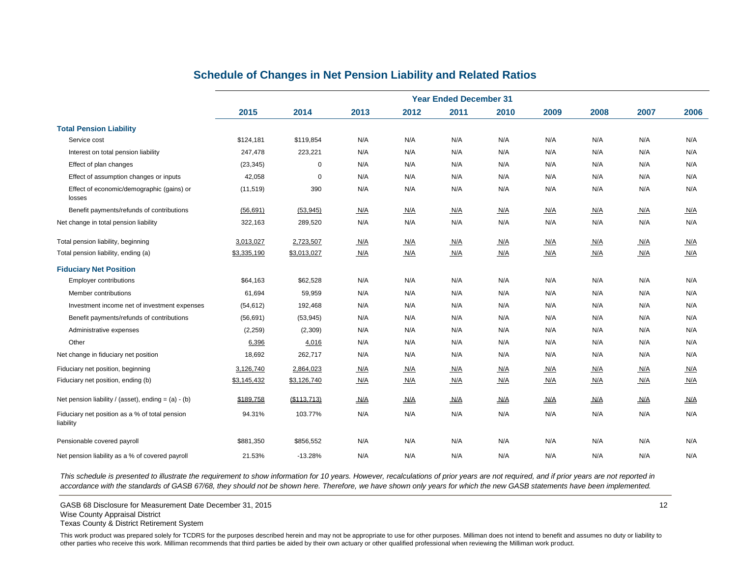<span id="page-13-0"></span>

|                                                             | <b>Year Ended December 31</b> |             |      |      |      |      |      |      |      |      |
|-------------------------------------------------------------|-------------------------------|-------------|------|------|------|------|------|------|------|------|
|                                                             | 2015                          | 2014        | 2013 | 2012 | 2011 | 2010 | 2009 | 2008 | 2007 | 2006 |
| <b>Total Pension Liability</b>                              |                               |             |      |      |      |      |      |      |      |      |
| Service cost                                                | \$124,181                     | \$119,854   | N/A  | N/A  | N/A  | N/A  | N/A  | N/A  | N/A  | N/A  |
| Interest on total pension liability                         | 247,478                       | 223,221     | N/A  | N/A  | N/A  | N/A  | N/A  | N/A  | N/A  | N/A  |
| Effect of plan changes                                      | (23, 345)                     | $\mathbf 0$ | N/A  | N/A  | N/A  | N/A  | N/A  | N/A  | N/A  | N/A  |
| Effect of assumption changes or inputs                      | 42,058                        | $\mathbf 0$ | N/A  | N/A  | N/A  | N/A  | N/A  | N/A  | N/A  | N/A  |
| Effect of economic/demographic (gains) or<br>losses         | (11, 519)                     | 390         | N/A  | N/A  | N/A  | N/A  | N/A  | N/A  | N/A  | N/A  |
| Benefit payments/refunds of contributions                   | (56, 691)                     | (53, 945)   | N/A  | N/A  | N/A  | N/A  | N/A  | N/A  | N/A  | N/A  |
| Net change in total pension liability                       | 322,163                       | 289,520     | N/A  | N/A  | N/A  | N/A  | N/A  | N/A  | N/A  | N/A  |
| Total pension liability, beginning                          | 3,013,027                     | 2,723,507   | N/A  | N/A  | N/A  | N/A  | N/A  | N/A  | N/A  | N/A  |
| Total pension liability, ending (a)                         | \$3,335,190                   | \$3,013,027 | N/A  | N/A  | N/A  | N/A  | N/A  | N/A  | N/A  | N/A  |
| <b>Fiduciary Net Position</b>                               |                               |             |      |      |      |      |      |      |      |      |
| <b>Employer contributions</b>                               | \$64,163                      | \$62,528    | N/A  | N/A  | N/A  | N/A  | N/A  | N/A  | N/A  | N/A  |
| Member contributions                                        | 61,694                        | 59,959      | N/A  | N/A  | N/A  | N/A  | N/A  | N/A  | N/A  | N/A  |
| Investment income net of investment expenses                | (54, 612)                     | 192,468     | N/A  | N/A  | N/A  | N/A  | N/A  | N/A  | N/A  | N/A  |
| Benefit payments/refunds of contributions                   | (56, 691)                     | (53, 945)   | N/A  | N/A  | N/A  | N/A  | N/A  | N/A  | N/A  | N/A  |
| Administrative expenses                                     | (2, 259)                      | (2,309)     | N/A  | N/A  | N/A  | N/A  | N/A  | N/A  | N/A  | N/A  |
| Other                                                       | 6,396                         | 4,016       | N/A  | N/A  | N/A  | N/A  | N/A  | N/A  | N/A  | N/A  |
| Net change in fiduciary net position                        | 18,692                        | 262,717     | N/A  | N/A  | N/A  | N/A  | N/A  | N/A  | N/A  | N/A  |
| Fiduciary net position, beginning                           | 3,126,740                     | 2,864,023   | N/A  | N/A  | N/A  | N/A  | N/A  | N/A  | N/A  | N/A  |
| Fiduciary net position, ending (b)                          | \$3,145,432                   | \$3,126,740 | N/A  | N/A  | N/A  | N/A  | N/A  | N/A  | N/A  | N/A  |
| Net pension liability / (asset), ending = $(a) - (b)$       | \$189,758                     | (\$113,713) | N/A  | N/A  | N/A  | N/A  | N/A  | N/A  | N/A  | N/A  |
| Fiduciary net position as a % of total pension<br>liability | 94.31%                        | 103.77%     | N/A  | N/A  | N/A  | N/A  | N/A  | N/A  | N/A  | N/A  |
| Pensionable covered payroll                                 | \$881,350                     | \$856,552   | N/A  | N/A  | N/A  | N/A  | N/A  | N/A  | N/A  | N/A  |
| Net pension liability as a % of covered payroll             | 21.53%                        | $-13.28%$   | N/A  | N/A  | N/A  | N/A  | N/A  | N/A  | N/A  | N/A  |

# **Schedule of Changes in Net Pension Liability and Related Ratios**

*This schedule is presented to illustrate the requirement to show information for 10 years. However, recalculations of prior years are not required, and if prior years are not reported in accordance with the standards of GASB 67/68, they should not be shown here. Therefore, we have shown only years for which the new GASB statements have been implemented.*

GASB 68 Disclosure for Measurement Date December 31, 2015 12

Texas County & District Retirement System

Wise County Appraisal District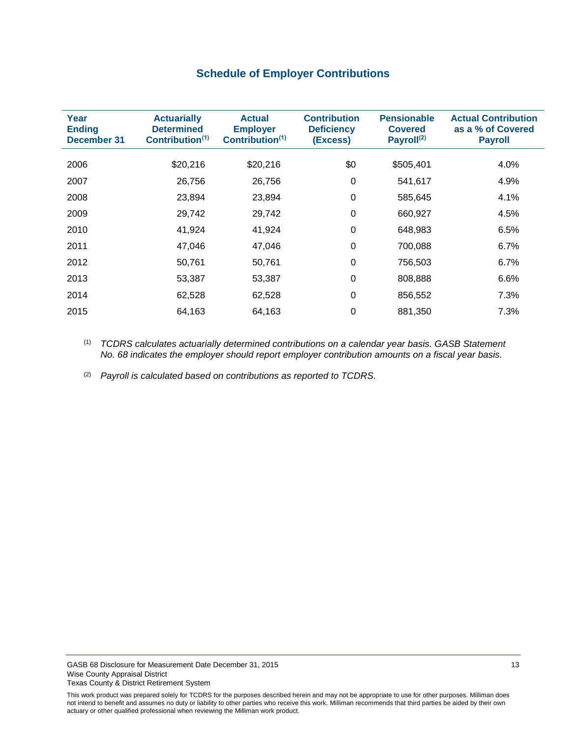# **Schedule of Employer Contributions**

<span id="page-14-0"></span>

| Year<br><b>Ending</b><br>December 31 | <b>Actuarially</b><br><b>Determined</b><br>Contribution <sup>(1)</sup> | <b>Actual</b><br><b>Employer</b><br>Contribution <sup>(1)</sup> | <b>Contribution</b><br><b>Deficiency</b><br>(Excess) | <b>Pensionable</b><br><b>Covered</b><br>Payroll <sup>(2)</sup> | <b>Actual Contribution</b><br>as a % of Covered<br><b>Payroll</b> |
|--------------------------------------|------------------------------------------------------------------------|-----------------------------------------------------------------|------------------------------------------------------|----------------------------------------------------------------|-------------------------------------------------------------------|
| 2006                                 | \$20,216                                                               | \$20,216                                                        | \$0                                                  | \$505,401                                                      | 4.0%                                                              |
| 2007                                 | 26,756                                                                 | 26,756                                                          | 0                                                    | 541,617                                                        | 4.9%                                                              |
| 2008                                 | 23,894                                                                 | 23,894                                                          | 0                                                    | 585,645                                                        | 4.1%                                                              |
| 2009                                 | 29,742                                                                 | 29,742                                                          | 0                                                    | 660,927                                                        | 4.5%                                                              |
| 2010                                 | 41,924                                                                 | 41,924                                                          | 0                                                    | 648,983                                                        | 6.5%                                                              |
| 2011                                 | 47,046                                                                 | 47,046                                                          | $\Omega$                                             | 700,088                                                        | 6.7%                                                              |
| 2012                                 | 50,761                                                                 | 50,761                                                          | $\Omega$                                             | 756,503                                                        | 6.7%                                                              |
| 2013                                 | 53,387                                                                 | 53,387                                                          | $\Omega$                                             | 808,888                                                        | 6.6%                                                              |
| 2014                                 | 62,528                                                                 | 62,528                                                          | 0                                                    | 856,552                                                        | 7.3%                                                              |
| 2015                                 | 64,163                                                                 | 64,163                                                          | 0                                                    | 881,350                                                        | 7.3%                                                              |

(1) *TCDRS calculates actuarially determined contributions on a calendar year basis. GASB Statement No. 68 indicates the employer should report employer contribution amounts on a fiscal year basis.*

(2) *Payroll is calculated based on contributions as reported to TCDRS.*

This work product was prepared solely for TCDRS for the purposes described herein and may not be appropriate to use for other purposes. Milliman does not intend to benefit and assumes no duty or liability to other parties who receive this work. Milliman recommends that third parties be aided by their own actuary or other qualified professional when reviewing the Milliman work product.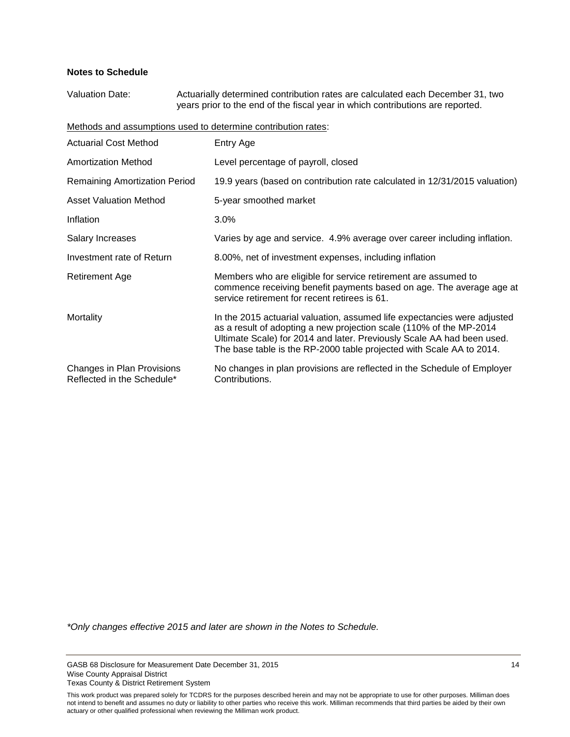#### **Notes to Schedule**

Valuation Date: Actuarially determined contribution rates are calculated each December 31, two years prior to the end of the fiscal year in which contributions are reported.

Methods and assumptions used to determine contribution rates:

| <b>Actuarial Cost Method</b>                             | Entry Age                                                                                                                                                                                                                                                                                         |
|----------------------------------------------------------|---------------------------------------------------------------------------------------------------------------------------------------------------------------------------------------------------------------------------------------------------------------------------------------------------|
| Amortization Method                                      | Level percentage of payroll, closed                                                                                                                                                                                                                                                               |
| <b>Remaining Amortization Period</b>                     | 19.9 years (based on contribution rate calculated in 12/31/2015 valuation)                                                                                                                                                                                                                        |
| <b>Asset Valuation Method</b>                            | 5-year smoothed market                                                                                                                                                                                                                                                                            |
| Inflation                                                | $3.0\%$                                                                                                                                                                                                                                                                                           |
| Salary Increases                                         | Varies by age and service. 4.9% average over career including inflation.                                                                                                                                                                                                                          |
| Investment rate of Return                                | 8.00%, net of investment expenses, including inflation                                                                                                                                                                                                                                            |
| Retirement Age                                           | Members who are eligible for service retirement are assumed to<br>commence receiving benefit payments based on age. The average age at<br>service retirement for recent retirees is 61.                                                                                                           |
| Mortality                                                | In the 2015 actuarial valuation, assumed life expectancies were adjusted<br>as a result of adopting a new projection scale (110% of the MP-2014<br>Ultimate Scale) for 2014 and later. Previously Scale AA had been used.<br>The base table is the RP-2000 table projected with Scale AA to 2014. |
| Changes in Plan Provisions<br>Reflected in the Schedule* | No changes in plan provisions are reflected in the Schedule of Employer<br>Contributions.                                                                                                                                                                                                         |

*\*Only changes effective 2015 and later are shown in the Notes to Schedule.*

GASB 68 Disclosure for Measurement Date December 31, 2015 14 Wise County Appraisal District Texas County & District Retirement System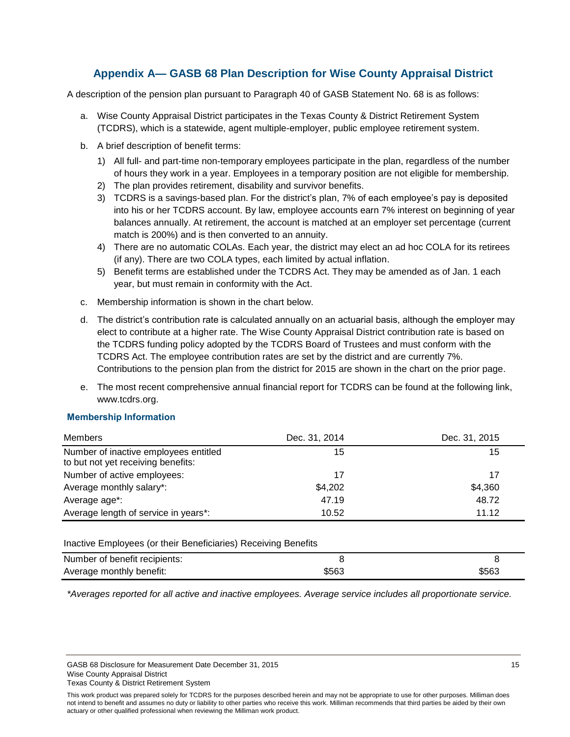# **Appendix A— GASB 68 Plan Description for Wise County Appraisal District**

<span id="page-16-0"></span>A description of the pension plan pursuant to Paragraph 40 of GASB Statement No. 68 is as follows:

- a. Wise County Appraisal District participates in the Texas County & District Retirement System (TCDRS), which is a statewide, agent multiple-employer, public employee retirement system.
- b. A brief description of benefit terms:
	- 1) All full- and part-time non-temporary employees participate in the plan, regardless of the number of hours they work in a year. Employees in a temporary position are not eligible for membership.
	- 2) The plan provides retirement, disability and survivor benefits.
	- 3) TCDRS is a savings-based plan. For the district's plan, 7% of each employee's pay is deposited into his or her TCDRS account. By law, employee accounts earn 7% interest on beginning of year balances annually. At retirement, the account is matched at an employer set percentage (current match is 200%) and is then converted to an annuity.
	- 4) There are no automatic COLAs. Each year, the district may elect an ad hoc COLA for its retirees (if any). There are two COLA types, each limited by actual inflation.
	- 5) Benefit terms are established under the TCDRS Act. They may be amended as of Jan. 1 each year, but must remain in conformity with the Act.
- c. Membership information is shown in the chart below.
- d. The district's contribution rate is calculated annually on an actuarial basis, although the employer may elect to contribute at a higher rate. The Wise County Appraisal District contribution rate is based on the TCDRS funding policy adopted by the TCDRS Board of Trustees and must conform with the TCDRS Act. The employee contribution rates are set by the district and are currently 7%. Contributions to the pension plan from the district for 2015 are shown in the chart on the prior page.
- e. The most recent comprehensive annual financial report for TCDRS can be found at the following link, www.tcdrs.org.

### **Membership Information**

| Members                                                                     | Dec. 31, 2014 | Dec. 31, 2015 |  |
|-----------------------------------------------------------------------------|---------------|---------------|--|
| Number of inactive employees entitled<br>to but not yet receiving benefits: | 15            | 15            |  |
| Number of active employees:                                                 | 17            | 17            |  |
| Average monthly salary*:                                                    | \$4,202       | \$4,360       |  |
| Average age*:                                                               | 47.19         | 48.72         |  |
| Average length of service in years*:                                        | 10.52         | 11.12         |  |

Inactive Employees (or their Beneficiaries) Receiving Benefits

| Number of benefit recipients: |       |       |
|-------------------------------|-------|-------|
| Average monthly benefit:      | \$563 | \$563 |

*\*Averages reported for all active and inactive employees. Average service includes all proportionate service.*

GASB 68 Disclosure for Measurement Date December 31, 2015 15 15 15 16 17 18 18 19 18 19 18 19 19 19 19 19 19 1 Wise County Appraisal District Texas County & District Retirement System

This work product was prepared solely for TCDRS for the purposes described herein and may not be appropriate to use for other purposes. Milliman does not intend to benefit and assumes no duty or liability to other parties who receive this work. Milliman recommends that third parties be aided by their own actuary or other qualified professional when reviewing the Milliman work product.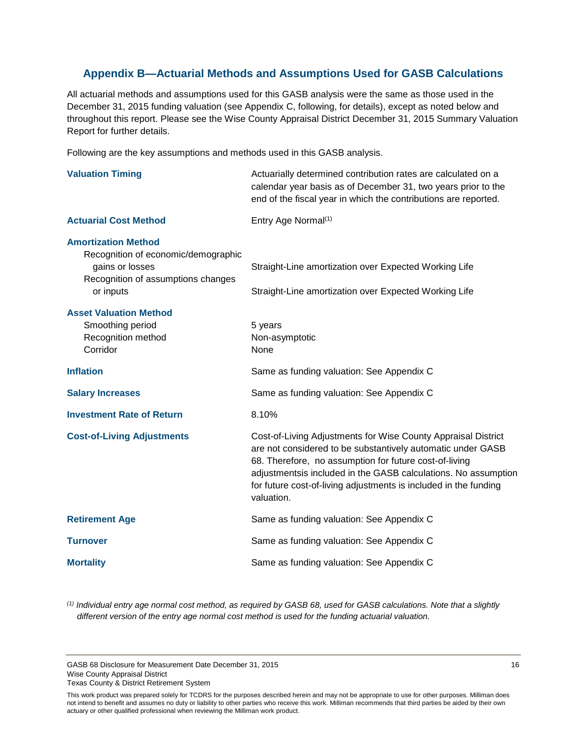# <span id="page-17-0"></span>**Appendix B—Actuarial Methods and Assumptions Used for GASB Calculations**

All actuarial methods and assumptions used for this GASB analysis were the same as those used in the December 31, 2015 funding valuation (see Appendix C, following, for details), except as noted below and throughout this report. Please see the Wise County Appraisal District December 31, 2015 Summary Valuation Report for further details.

Following are the key assumptions and methods used in this GASB analysis.

| <b>Valuation Timing</b>                                                                                                                 | Actuarially determined contribution rates are calculated on a<br>calendar year basis as of December 31, two years prior to the<br>end of the fiscal year in which the contributions are reported.                                                                                                                                          |
|-----------------------------------------------------------------------------------------------------------------------------------------|--------------------------------------------------------------------------------------------------------------------------------------------------------------------------------------------------------------------------------------------------------------------------------------------------------------------------------------------|
| <b>Actuarial Cost Method</b>                                                                                                            | Entry Age Normal <sup>(1)</sup>                                                                                                                                                                                                                                                                                                            |
| <b>Amortization Method</b><br>Recognition of economic/demographic<br>gains or losses<br>Recognition of assumptions changes<br>or inputs | Straight-Line amortization over Expected Working Life<br>Straight-Line amortization over Expected Working Life                                                                                                                                                                                                                             |
| <b>Asset Valuation Method</b><br>Smoothing period<br>Recognition method<br>Corridor                                                     | 5 years<br>Non-asymptotic<br>None                                                                                                                                                                                                                                                                                                          |
| <b>Inflation</b>                                                                                                                        | Same as funding valuation: See Appendix C                                                                                                                                                                                                                                                                                                  |
| <b>Salary Increases</b>                                                                                                                 | Same as funding valuation: See Appendix C                                                                                                                                                                                                                                                                                                  |
| <b>Investment Rate of Return</b>                                                                                                        | 8.10%                                                                                                                                                                                                                                                                                                                                      |
| <b>Cost-of-Living Adjustments</b>                                                                                                       | Cost-of-Living Adjustments for Wise County Appraisal District<br>are not considered to be substantively automatic under GASB<br>68. Therefore, no assumption for future cost-of-living<br>adjustmentsis included in the GASB calculations. No assumption<br>for future cost-of-living adjustments is included in the funding<br>valuation. |
| <b>Retirement Age</b>                                                                                                                   | Same as funding valuation: See Appendix C                                                                                                                                                                                                                                                                                                  |
| <b>Turnover</b>                                                                                                                         | Same as funding valuation: See Appendix C                                                                                                                                                                                                                                                                                                  |
| <b>Mortality</b>                                                                                                                        | Same as funding valuation: See Appendix C                                                                                                                                                                                                                                                                                                  |

*(1) Individual entry age normal cost method, as required by GASB 68, used for GASB calculations. Note that a slightly different version of the entry age normal cost method is used for the funding actuarial valuation.* 

GASB 68 Disclosure for Measurement Date December 31, 2015 16 November 31, 2016 Wise County Appraisal District Texas County & District Retirement System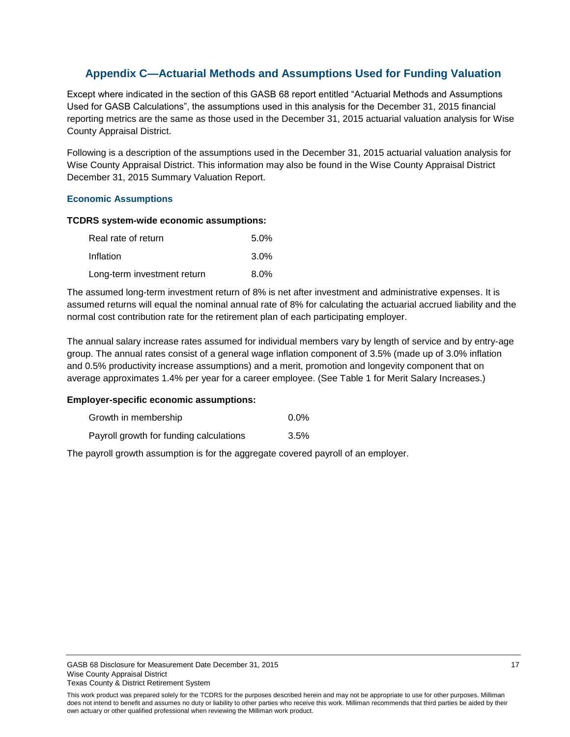# <span id="page-18-0"></span>**Appendix C—Actuarial Methods and Assumptions Used for Funding Valuation**

Except where indicated in the section of this GASB 68 report entitled "Actuarial Methods and Assumptions Used for GASB Calculations", the assumptions used in this analysis for the December 31, 2015 financial reporting metrics are the same as those used in the December 31, 2015 actuarial valuation analysis for Wise County Appraisal District.

Following is a description of the assumptions used in the December 31, 2015 actuarial valuation analysis for Wise County Appraisal District. This information may also be found in the Wise County Appraisal District December 31, 2015 Summary Valuation Report.

### **Economic Assumptions**

#### **TCDRS system-wide economic assumptions:**

| Real rate of return         | $5.0\%$ |
|-----------------------------|---------|
| Inflation                   | $3.0\%$ |
| Long-term investment return | $8.0\%$ |

The assumed long-term investment return of 8% is net after investment and administrative expenses. It is assumed returns will equal the nominal annual rate of 8% for calculating the actuarial accrued liability and the normal cost contribution rate for the retirement plan of each participating employer.

The annual salary increase rates assumed for individual members vary by length of service and by entry-age group. The annual rates consist of a general wage inflation component of 3.5% (made up of 3.0% inflation and 0.5% productivity increase assumptions) and a merit, promotion and longevity component that on average approximates 1.4% per year for a career employee. (See Table 1 for Merit Salary Increases.)

#### **Employer-specific economic assumptions:**

| Growth in membership | $0.0\%$ |
|----------------------|---------|
|----------------------|---------|

Payroll growth for funding calculations 3.5%

The payroll growth assumption is for the aggregate covered payroll of an employer.

This work product was prepared solely for the TCDRS for the purposes described herein and may not be appropriate to use for other purposes. Milliman does not intend to benefit and assumes no duty or liability to other parties who receive this work. Milliman recommends that third parties be aided by their own actuary or other qualified professional when reviewing the Milliman work product.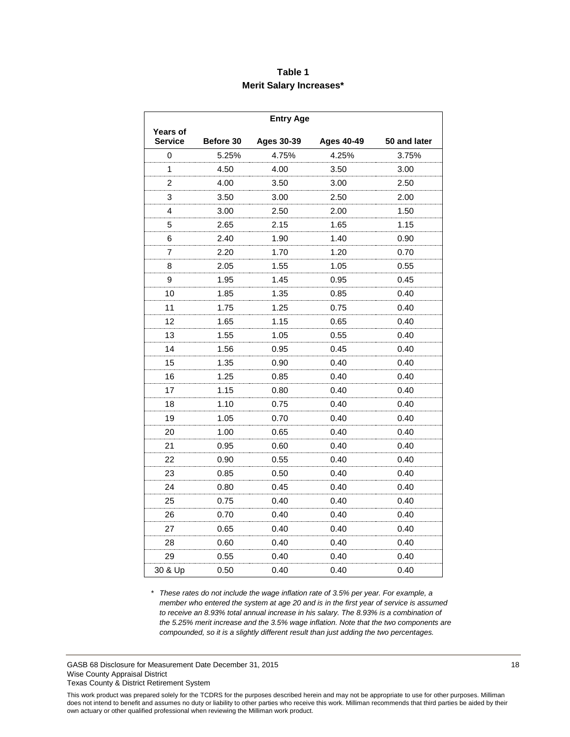# **Table 1 Merit Salary Increases\***

| <b>Entry Age</b>                  |           |                   |                   |              |  |
|-----------------------------------|-----------|-------------------|-------------------|--------------|--|
| <b>Years of</b><br><b>Service</b> | Before 30 | <b>Ages 30-39</b> | <b>Ages 40-49</b> | 50 and later |  |
| 0                                 | 5.25%     | 4.75%             | 4.25%             | 3.75%        |  |
| 1                                 | 4.50      | 4.00              | 3.50              | 3.00         |  |
| 2                                 | 4.00      | 3.50              | 3.00              | 2.50         |  |
| 3                                 | 3.50      | 3.00              | 2.50              | 2.00         |  |
| 4                                 | 3.00      | 2.50              | 2.00              | 1.50         |  |
| 5                                 | 2.65      | 2.15              | 1.65              | 1.15         |  |
| 6                                 | 2.40      | 1.90              | 1.40              | 0.90         |  |
| 7                                 | 2.20      | 1.70              | 1.20              | 0.70         |  |
| 8                                 | 2.05      | 1.55              | 1.05              | 0.55         |  |
| 9                                 | 1.95      | 1.45              | 0.95              | 0.45         |  |
| 10                                | 1.85      | 1.35              | 0.85              | 0.40         |  |
| 11                                | 1.75      | 1.25              | 0.75              | 0.40         |  |
| 12                                | 1.65      | 1.15              | 0.65              | 0.40         |  |
| 13                                | 1.55      | 1.05              | 0.55              | 0.40         |  |
| 14                                | 1.56      | 0.95              | 0.45              | 0.40         |  |
| 15                                | 1.35      | 0.90              | 0.40              | 0.40         |  |
| 16                                | 1.25      | 0.85              | 0.40              | 0.40         |  |
| 17                                | 1.15      | 0.80              | 0.40              | 0.40         |  |
| 18                                | 1.10      | 0.75              | 0.40              | 0.40         |  |
| 19                                | 1.05      | 0.70              | 0.40              | 0.40         |  |
| 20                                | 1.00      | 0.65              | 0.40              | 0.40         |  |
| 21                                | 0.95      | 0.60              | 0.40              | 0.40         |  |
| 22                                | 0.90      | 0.55              | 0.40              | 0.40         |  |
| 23                                | 0.85      | 0.50              | 0.40              | 0.40         |  |
| 24                                | 0.80      | 0.45              | 0.40              | 0.40         |  |
| 25                                | 0.75      | 0.40              | 0.40              | 0.40         |  |
| 26                                | 0.70      | 0.40              | 0.40              | 0.40         |  |
| 27                                | 0.65      | 0.40              | 0.40              | 0.40         |  |
| 28                                | 0.60      | 0.40              | 0.40              | 0.40         |  |
| 29                                | 0.55      | 0.40              | 0.40              | 0.40         |  |
| 30 & Up                           | 0.50      | 0.40              | 0.40              | 0.40         |  |

*\* These rates do not include the wage inflation rate of 3.5% per year. For example, a member who entered the system at age 20 and is in the first year of service is assumed to receive an 8.93% total annual increase in his salary. The 8.93% is a combination of the 5.25% merit increase and the 3.5% wage inflation. Note that the two components are compounded, so it is a slightly different result than just adding the two percentages.*

GASB 68 Disclosure for Measurement Date December 31, 2015 18 November 31, 2015 Wise County Appraisal District Texas County & District Retirement System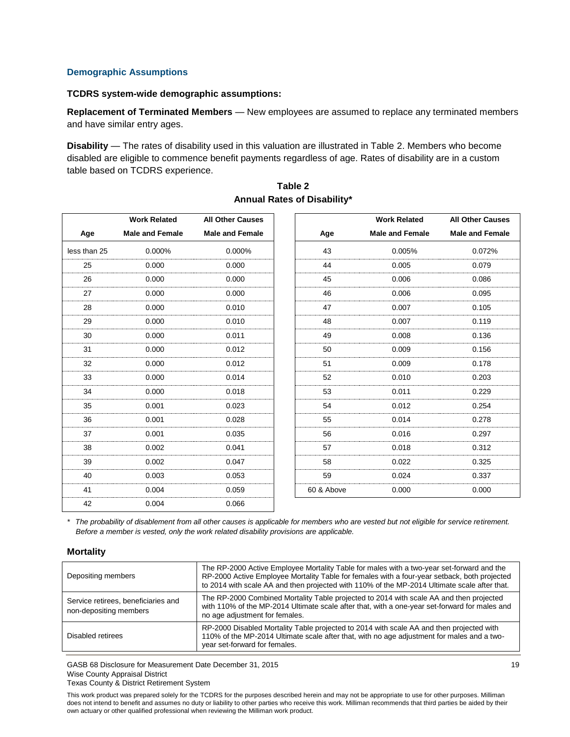#### **Demographic Assumptions**

#### **TCDRS system-wide demographic assumptions:**

**Replacement of Terminated Members** — New employees are assumed to replace any terminated members and have similar entry ages.

**Disability** — The rates of disability used in this valuation are illustrated in Table 2. Members who become disabled are eligible to commence benefit payments regardless of age. Rates of disability are in a custom table based on TCDRS experience.

|              | <b>Work Related</b>    | <b>All Other Causes</b> |            | <b>Work Related</b>    | <b>All Other Causes</b> |
|--------------|------------------------|-------------------------|------------|------------------------|-------------------------|
| Age          | <b>Male and Female</b> | <b>Male and Female</b>  | Age        | <b>Male and Female</b> | <b>Male and Female</b>  |
| less than 25 | 0.000%                 | 0.000%                  | 43         | 0.005%                 | 0.072%                  |
| 25           | 0.000                  | 0.000                   | 44         | 0.005                  | 0.079                   |
| 26           | 0.000                  | 0.000                   | 45         | 0.006                  | 0.086                   |
| 27           | 0.000                  | 0.000                   | 46         | 0.006                  | 0.095                   |
| 28           | 0.000                  | 0.010                   | 47         | 0.007                  | 0.105                   |
| 29           | 0.000                  | 0.010                   | 48         | 0.007                  | 0.119                   |
| 30           | 0.000                  | 0.011                   | 49         | 0.008                  | 0.136                   |
| 31           | 0.000                  | 0.012                   | 50         | 0.009                  | 0.156                   |
| 32           | 0.000                  | 0.012                   | 51         | 0.009                  | 0.178                   |
| 33           | 0.000                  | 0.014                   | 52         | 0.010                  | 0.203                   |
| 34           | 0.000                  | 0.018                   | 53         | 0.011                  | 0.229                   |
| 35           | 0.001                  | 0.023                   | 54         | 0.012                  | 0.254                   |
| 36           | 0.001                  | 0.028                   | 55         | 0.014                  | 0.278                   |
| 37           | 0.001                  | 0.035                   | 56         | 0.016                  | 0.297                   |
| 38           | 0.002                  | 0.041                   | 57         | 0.018                  | 0.312                   |
| 39           | 0.002                  | 0.047                   | 58         | 0.022                  | 0.325                   |
| 40           | 0.003                  | 0.053                   | 59         | 0.024                  | 0.337                   |
| 41           | 0.004                  | 0.059                   | 60 & Above | 0.000                  | 0.000                   |
| 42           | 0.004                  | 0.066                   |            |                        |                         |

### **Table 2 Annual Rates of Disability\***

*\* The probability of disablement from all other causes is applicable for members who are vested but not eligible for service retirement. Before a member is vested, only the work related disability provisions are applicable.*

#### **Mortality**

| Depositing members                                            | The RP-2000 Active Employee Mortality Table for males with a two-year set-forward and the<br>RP-2000 Active Employee Mortality Table for females with a four-year setback, both projected<br>to 2014 with scale AA and then projected with 110% of the MP-2014 Ultimate scale after that. |
|---------------------------------------------------------------|-------------------------------------------------------------------------------------------------------------------------------------------------------------------------------------------------------------------------------------------------------------------------------------------|
| Service retirees, beneficiaries and<br>non-depositing members | The RP-2000 Combined Mortality Table projected to 2014 with scale AA and then projected<br>with 110% of the MP-2014 Ultimate scale after that, with a one-year set-forward for males and<br>no age adjustment for females.                                                                |
| Disabled retirees                                             | RP-2000 Disabled Mortality Table projected to 2014 with scale AA and then projected with<br>110% of the MP-2014 Ultimate scale after that, with no age adjustment for males and a two-<br>year set-forward for females.                                                                   |

GASB 68 Disclosure for Measurement Date December 31, 2015 19 Wise County Appraisal District Texas County & District Retirement System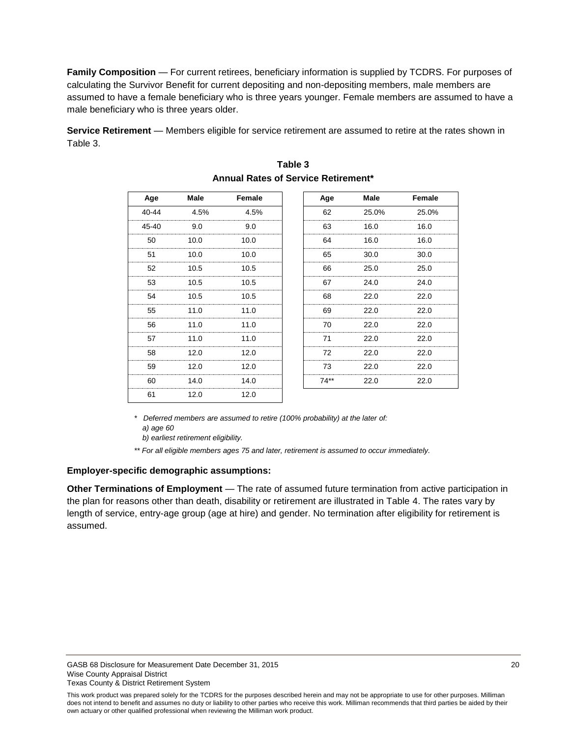**Family Composition** — For current retirees, beneficiary information is supplied by TCDRS. For purposes of calculating the Survivor Benefit for current depositing and non-depositing members, male members are assumed to have a female beneficiary who is three years younger. Female members are assumed to have a male beneficiary who is three years older.

**Service Retirement** — Members eligible for service retirement are assumed to retire at the rates shown in Table 3.

| Age   | <b>Male</b> | Female | Age    | <b>Male</b> | Female |
|-------|-------------|--------|--------|-------------|--------|
| 40-44 | 4.5%        | 4.5%   | 62     | 25.0%       | 25.0%  |
| 45-40 | 9.0         | 9.0    | 63     | 16.0        | 16.0   |
| 50    | 10.0        | 10.0   | 64     | 16.0        | 16.0   |
| 51    | 10.0        | 10.0   | 65     | 30.0        | 30.0   |
| 52    | 10.5        | 10.5   | 66     | 25.0        | 25.0   |
| 53    | 10.5        | 10.5   | 67     | 24.0        | 24.0   |
| 54    | 10.5        | 10.5   | 68     | 22.0        | 22.0   |
| 55    | 11.0        | 11.0   | 69     | 22.0        | 22.0   |
| 56    | 11.0        | 11.0   | 70     | 22.0        | 22.0   |
| 57    | 11.0        | 11.0   | 71     | 22.0        | 22.0   |
| 58    | 12.0        | 12.0   | 72     | 22.0        | 22.0   |
| 59    | 12.0        | 12.0   | 73     | 22.0        | 22.0   |
| 60    | 14.0        | 14.0   | $74**$ | 22.0        | 22.0   |
| 61    | 12.0        | 12.0   |        |             |        |

### **Table 3 Annual Rates of Service Retirement\***

*\* Deferred members are assumed to retire (100% probability) at the later of: a) age 60*

 *b) earliest retirement eligibility.*

*\*\* For all eligible members ages 75 and later, retirement is assumed to occur immediately.*

#### **Employer-specific demographic assumptions:**

**Other Terminations of Employment** — The rate of assumed future termination from active participation in the plan for reasons other than death, disability or retirement are illustrated in Table 4. The rates vary by length of service, entry-age group (age at hire) and gender. No termination after eligibility for retirement is assumed.

This work product was prepared solely for the TCDRS for the purposes described herein and may not be appropriate to use for other purposes. Milliman does not intend to benefit and assumes no duty or liability to other parties who receive this work. Milliman recommends that third parties be aided by their own actuary or other qualified professional when reviewing the Milliman work product.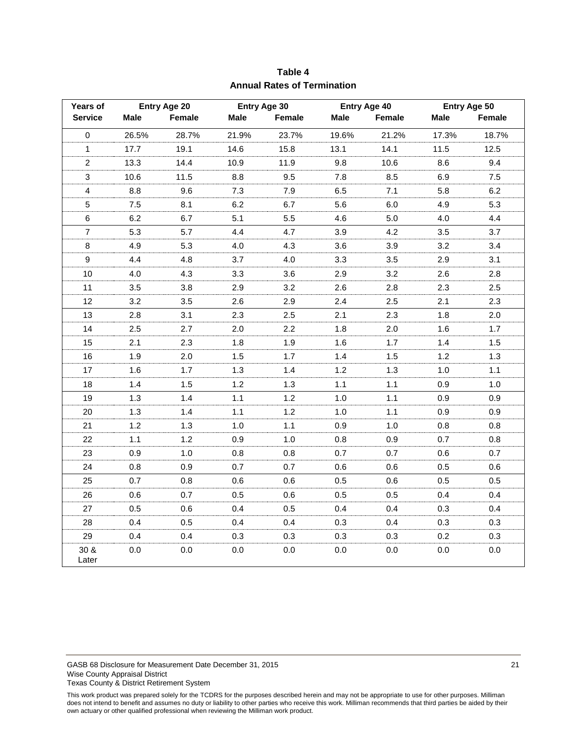| Years of                | Entry Age 20 |        | Entry Age 30 |        | Entry Age 40 |        | Entry Age 50 |         |
|-------------------------|--------------|--------|--------------|--------|--------------|--------|--------------|---------|
| <b>Service</b>          | <b>Male</b>  | Female | Male         | Female | Male         | Female | Male         | Female  |
| $\pmb{0}$               | 26.5%        | 28.7%  | 21.9%        | 23.7%  | 19.6%        | 21.2%  | 17.3%        | 18.7%   |
| $\mathbf{1}$            | 17.7         | 19.1   | 14.6         | 15.8   | 13.1         | 14.1   | 11.5         | 12.5    |
| $\overline{2}$          | 13.3         | 14.4   | 10.9         | 11.9   | 9.8          | 10.6   | 8.6          | 9.4     |
| $\mathfrak{Z}$          | 10.6         | 11.5   | 8.8          | 9.5    | 7.8          | 8.5    | 6.9          | $7.5\,$ |
| $\overline{\mathbf{4}}$ | 8.8          | 9.6    | 7.3          | 7.9    | 6.5          | 7.1    | 5.8          | 6.2     |
| $\sqrt{5}$              | 7.5          | 8.1    | 6.2          | 6.7    | 5.6          | 6.0    | 4.9          | 5.3     |
| $\,6\,$                 | 6.2          | 6.7    | 5.1          | 5.5    | 4.6          | 5.0    | 4.0          | 4.4     |
| $\overline{7}$          | 5.3          | 5.7    | 4.4          | 4.7    | 3.9          | 4.2    | 3.5          | 3.7     |
| $\bf 8$                 | 4.9          | 5.3    | 4.0          | 4.3    | 3.6          | 3.9    | 3.2          | 3.4     |
| $\boldsymbol{9}$        | 4.4          | 4.8    | 3.7          | 4.0    | 3.3          | 3.5    | 2.9          | 3.1     |
| 10                      | 4.0          | 4.3    | 3.3          | 3.6    | 2.9          | 3.2    | 2.6          | 2.8     |
| 11                      | 3.5          | 3.8    | 2.9          | 3.2    | 2.6          | 2.8    | 2.3          | 2.5     |
| 12                      | 3.2          | 3.5    | 2.6          | 2.9    | 2.4          | 2.5    | 2.1          | 2.3     |
| 13                      | 2.8          | 3.1    | 2.3          | 2.5    | 2.1          | 2.3    | 1.8          | 2.0     |
| 14                      | 2.5          | 2.7    | 2.0          | 2.2    | 1.8          | 2.0    | 1.6          | 1.7     |
| 15                      | 2.1          | 2.3    | 1.8          | 1.9    | 1.6          | 1.7    | 1.4          | 1.5     |
| 16                      | 1.9          | 2.0    | 1.5          | 1.7    | 1.4          | 1.5    | 1.2          | 1.3     |
| 17                      | 1.6          | 1.7    | 1.3          | 1.4    | 1.2          | 1.3    | 1.0          | 1.1     |
| 18                      | 1.4          | 1.5    | 1.2          | 1.3    | 1.1          | 1.1    | 0.9          | 1.0     |
| 19                      | 1.3          | 1.4    | 1.1          | 1.2    | 1.0          | 1.1    | 0.9          | 0.9     |
| 20                      | 1.3          | 1.4    | 1.1          | 1.2    | 1.0          | 1.1    | 0.9          | 0.9     |
| 21                      | 1.2          | 1.3    | 1.0          | 1.1    | 0.9          | $1.0$  | 0.8          | 0.8     |
| 22                      | 1.1          | 1.2    | 0.9          | 1.0    | 0.8          | 0.9    | 0.7          | $0.8\,$ |
| 23                      | 0.9          | 1.0    | 0.8          | 0.8    | 0.7          | 0.7    | 0.6          | 0.7     |
| 24                      | 0.8          | 0.9    | 0.7          | 0.7    | 0.6          | 0.6    | 0.5          | 0.6     |
| 25                      | 0.7          | 0.8    | 0.6          | 0.6    | 0.5          | 0.6    | 0.5          | 0.5     |
| 26                      | 0.6          | 0.7    | 0.5          | 0.6    | 0.5          | 0.5    | 0.4          | 0.4     |
| 27                      | 0.5          | 0.6    | 0.4          | 0.5    | 0.4          | 0.4    | 0.3          | 0.4     |
| 28                      | 0.4          | 0.5    | 0.4          | 0.4    | 0.3          | 0.4    | 0.3          | 0.3     |
| 29                      | 0.4          | 0.4    | 0.3          | 0.3    | 0.3          | 0.3    | 0.2          | 0.3     |
| 30 &<br>Later           | 0.0          | 0.0    | 0.0          | 0.0    | 0.0          | 0.0    | 0.0          | 0.0     |

# **Table 4 Annual Rates of Termination**

GASB 68 Disclosure for Measurement Date December 31, 2015 21 21 Wise County Appraisal District Texas County & District Retirement System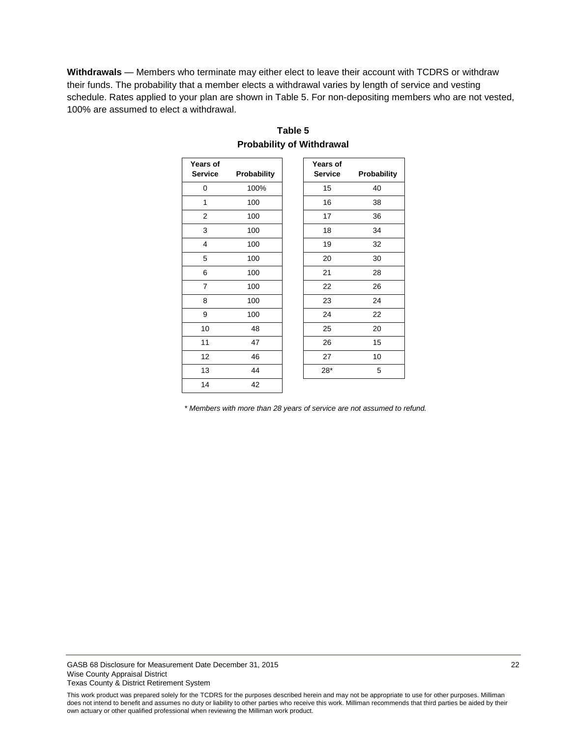**Withdrawals** — Members who terminate may either elect to leave their account with TCDRS or withdraw their funds. The probability that a member elects a withdrawal varies by length of service and vesting schedule. Rates applied to your plan are shown in Table 5. For non-depositing members who are not vested, 100% are assumed to elect a withdrawal.

| Years of<br><b>Service</b> | Probability | Years of<br><b>Service</b> | Probability |
|----------------------------|-------------|----------------------------|-------------|
|                            |             |                            |             |
| 0                          | 100%        | 15                         | 40          |
| 1                          | 100         | 16                         | 38          |
| 2                          | 100         | 17                         | 36          |
| 3                          | 100         | 18                         | 34          |
| 4                          | 100         | 19                         | 32          |
| 5                          | 100         | 20                         | 30          |
| 6                          | 100         | 21                         | 28          |
| $\overline{7}$             | 100         | 22                         | 26          |
| 8                          | 100         | 23                         | 24          |
| 9                          | 100         | 24                         | 22          |
| 10                         | 48          | 25                         | 20          |
| 11                         | 47          | 26                         | 15          |
| 12                         | 46          | 27                         | 10          |
| 13                         | 44          | $28*$                      | 5           |
| 14                         | 42          |                            |             |

# **Table 5 Probability of Withdrawal**

*\* Members with more than 28 years of service are not assumed to refund.*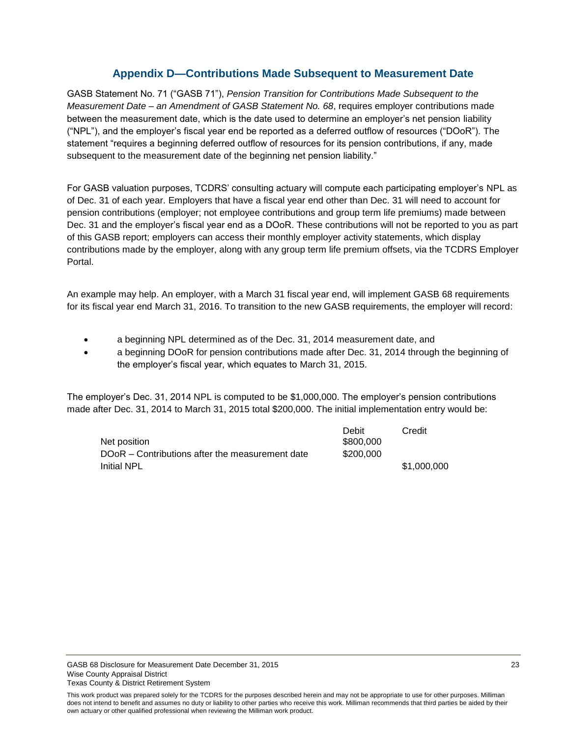# **Appendix D—Contributions Made Subsequent to Measurement Date**

<span id="page-24-0"></span>GASB Statement No. 71 ("GASB 71"), *Pension Transition for Contributions Made Subsequent to the Measurement Date – an Amendment of GASB Statement No. 68*, requires employer contributions made between the measurement date, which is the date used to determine an employer's net pension liability ("NPL"), and the employer's fiscal year end be reported as a deferred outflow of resources ("DOoR"). The statement "requires a beginning deferred outflow of resources for its pension contributions, if any, made subsequent to the measurement date of the beginning net pension liability."

For GASB valuation purposes, TCDRS' consulting actuary will compute each participating employer's NPL as of Dec. 31 of each year. Employers that have a fiscal year end other than Dec. 31 will need to account for pension contributions (employer; not employee contributions and group term life premiums) made between Dec. 31 and the employer's fiscal year end as a DOoR. These contributions will not be reported to you as part of this GASB report; employers can access their monthly employer activity statements, which display contributions made by the employer, along with any group term life premium offsets, via the TCDRS Employer Portal.

An example may help. An employer, with a March 31 fiscal year end, will implement GASB 68 requirements for its fiscal year end March 31, 2016. To transition to the new GASB requirements, the employer will record:

- a beginning NPL determined as of the Dec. 31, 2014 measurement date, and
- a beginning DOoR for pension contributions made after Dec. 31, 2014 through the beginning of the employer's fiscal year, which equates to March 31, 2015.

The employer's Dec. 31, 2014 NPL is computed to be \$1,000,000. The employer's pension contributions made after Dec. 31, 2014 to March 31, 2015 total \$200,000. The initial implementation entry would be:

|                                                 | Debit     | Credit      |
|-------------------------------------------------|-----------|-------------|
| Net position                                    | \$800,000 |             |
| DOoR – Contributions after the measurement date | \$200,000 |             |
| <b>Initial NPL</b>                              |           | \$1,000,000 |

This work product was prepared solely for the TCDRS for the purposes described herein and may not be appropriate to use for other purposes. Milliman does not intend to benefit and assumes no duty or liability to other parties who receive this work. Milliman recommends that third parties be aided by their own actuary or other qualified professional when reviewing the Milliman work product.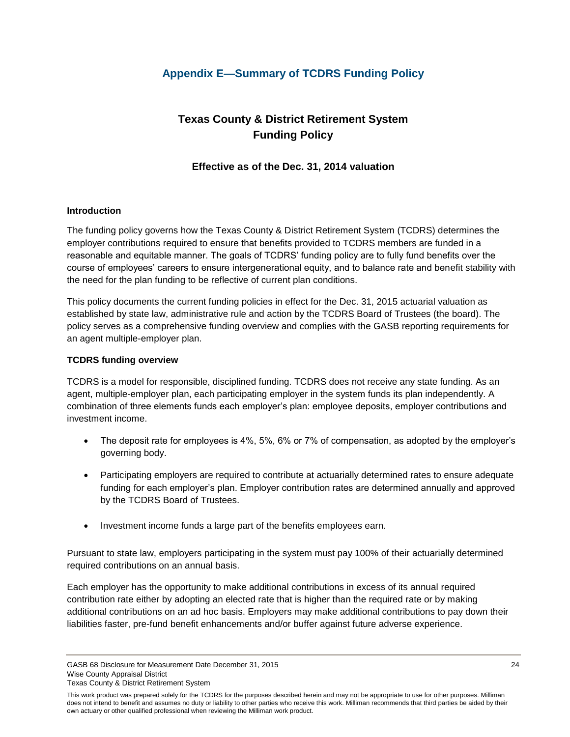# <span id="page-25-0"></span>**Appendix E—Summary of TCDRS Funding Policy**

# **Texas County & District Retirement System Funding Policy**

# **Effective as of the Dec. 31, 2014 valuation**

### **Introduction**

The funding policy governs how the Texas County & District Retirement System (TCDRS) determines the employer contributions required to ensure that benefits provided to TCDRS members are funded in a reasonable and equitable manner. The goals of TCDRS' funding policy are to fully fund benefits over the course of employees' careers to ensure intergenerational equity, and to balance rate and benefit stability with the need for the plan funding to be reflective of current plan conditions.

This policy documents the current funding policies in effect for the Dec. 31, 2015 actuarial valuation as established by state law, administrative rule and action by the TCDRS Board of Trustees (the board). The policy serves as a comprehensive funding overview and complies with the GASB reporting requirements for an agent multiple-employer plan.

### **TCDRS funding overview**

TCDRS is a model for responsible, disciplined funding. TCDRS does not receive any state funding. As an agent, multiple-employer plan, each participating employer in the system funds its plan independently. A combination of three elements funds each employer's plan: employee deposits, employer contributions and investment income.

- The deposit rate for employees is 4%, 5%, 6% or 7% of compensation, as adopted by the employer's governing body.
- Participating employers are required to contribute at actuarially determined rates to ensure adequate funding for each employer's plan. Employer contribution rates are determined annually and approved by the TCDRS Board of Trustees.
- Investment income funds a large part of the benefits employees earn.

Pursuant to state law, employers participating in the system must pay 100% of their actuarially determined required contributions on an annual basis.

Each employer has the opportunity to make additional contributions in excess of its annual required contribution rate either by adopting an elected rate that is higher than the required rate or by making additional contributions on an ad hoc basis. Employers may make additional contributions to pay down their liabilities faster, pre-fund benefit enhancements and/or buffer against future adverse experience.

GASB 68 Disclosure for Measurement Date December 31, 2015 24 Wise County Appraisal District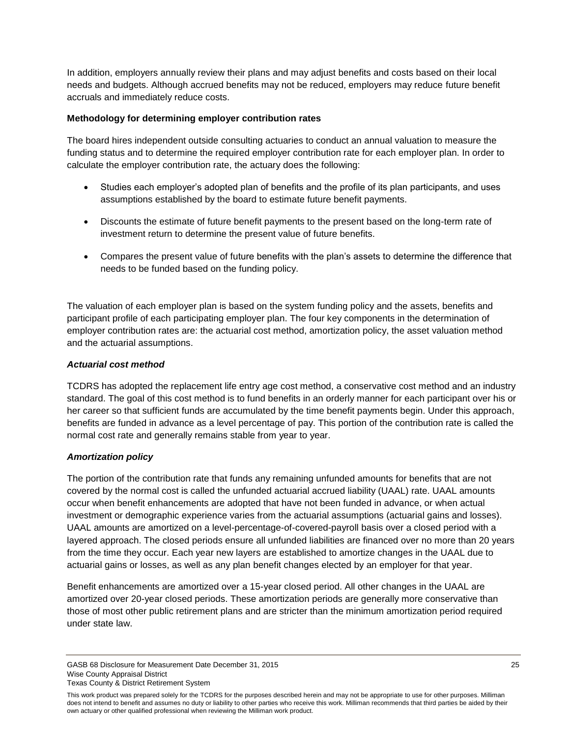In addition, employers annually review their plans and may adjust benefits and costs based on their local needs and budgets. Although accrued benefits may not be reduced, employers may reduce future benefit accruals and immediately reduce costs.

### **Methodology for determining employer contribution rates**

The board hires independent outside consulting actuaries to conduct an annual valuation to measure the funding status and to determine the required employer contribution rate for each employer plan. In order to calculate the employer contribution rate, the actuary does the following:

- Studies each employer's adopted plan of benefits and the profile of its plan participants, and uses assumptions established by the board to estimate future benefit payments.
- Discounts the estimate of future benefit payments to the present based on the long-term rate of investment return to determine the present value of future benefits.
- Compares the present value of future benefits with the plan's assets to determine the difference that needs to be funded based on the funding policy.

The valuation of each employer plan is based on the system funding policy and the assets, benefits and participant profile of each participating employer plan. The four key components in the determination of employer contribution rates are: the actuarial cost method, amortization policy, the asset valuation method and the actuarial assumptions.

### *Actuarial cost method*

TCDRS has adopted the replacement life entry age cost method, a conservative cost method and an industry standard. The goal of this cost method is to fund benefits in an orderly manner for each participant over his or her career so that sufficient funds are accumulated by the time benefit payments begin. Under this approach, benefits are funded in advance as a level percentage of pay. This portion of the contribution rate is called the normal cost rate and generally remains stable from year to year.

## *Amortization policy*

The portion of the contribution rate that funds any remaining unfunded amounts for benefits that are not covered by the normal cost is called the unfunded actuarial accrued liability (UAAL) rate. UAAL amounts occur when benefit enhancements are adopted that have not been funded in advance, or when actual investment or demographic experience varies from the actuarial assumptions (actuarial gains and losses). UAAL amounts are amortized on a level-percentage-of-covered-payroll basis over a closed period with a layered approach. The closed periods ensure all unfunded liabilities are financed over no more than 20 years from the time they occur. Each year new layers are established to amortize changes in the UAAL due to actuarial gains or losses, as well as any plan benefit changes elected by an employer for that year.

Benefit enhancements are amortized over a 15-year closed period. All other changes in the UAAL are amortized over 20-year closed periods. These amortization periods are generally more conservative than those of most other public retirement plans and are stricter than the minimum amortization period required under state law.

GASB 68 Disclosure for Measurement Date December 31, 2015 25 25 Wise County Appraisal District Texas County & District Retirement System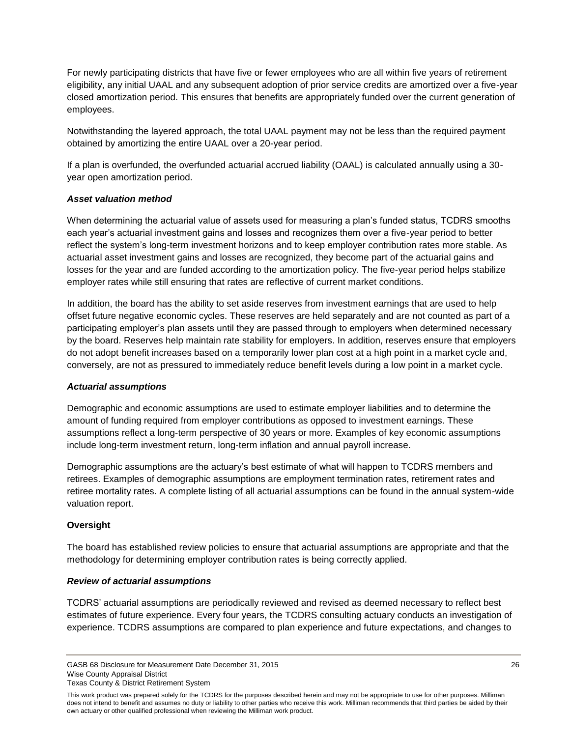For newly participating districts that have five or fewer employees who are all within five years of retirement eligibility, any initial UAAL and any subsequent adoption of prior service credits are amortized over a five-year closed amortization period. This ensures that benefits are appropriately funded over the current generation of employees.

Notwithstanding the layered approach, the total UAAL payment may not be less than the required payment obtained by amortizing the entire UAAL over a 20-year period.

If a plan is overfunded, the overfunded actuarial accrued liability (OAAL) is calculated annually using a 30 year open amortization period.

### *Asset valuation method*

When determining the actuarial value of assets used for measuring a plan's funded status, TCDRS smooths each year's actuarial investment gains and losses and recognizes them over a five-year period to better reflect the system's long-term investment horizons and to keep employer contribution rates more stable. As actuarial asset investment gains and losses are recognized, they become part of the actuarial gains and losses for the year and are funded according to the amortization policy. The five-year period helps stabilize employer rates while still ensuring that rates are reflective of current market conditions.

In addition, the board has the ability to set aside reserves from investment earnings that are used to help offset future negative economic cycles. These reserves are held separately and are not counted as part of a participating employer's plan assets until they are passed through to employers when determined necessary by the board. Reserves help maintain rate stability for employers. In addition, reserves ensure that employers do not adopt benefit increases based on a temporarily lower plan cost at a high point in a market cycle and, conversely, are not as pressured to immediately reduce benefit levels during a low point in a market cycle.

### *Actuarial assumptions*

Demographic and economic assumptions are used to estimate employer liabilities and to determine the amount of funding required from employer contributions as opposed to investment earnings. These assumptions reflect a long-term perspective of 30 years or more. Examples of key economic assumptions include long-term investment return, long-term inflation and annual payroll increase.

Demographic assumptions are the actuary's best estimate of what will happen to TCDRS members and retirees. Examples of demographic assumptions are employment termination rates, retirement rates and retiree mortality rates. A complete listing of all actuarial assumptions can be found in the annual system-wide valuation report.

## **Oversight**

The board has established review policies to ensure that actuarial assumptions are appropriate and that the methodology for determining employer contribution rates is being correctly applied.

### *Review of actuarial assumptions*

TCDRS' actuarial assumptions are periodically reviewed and revised as deemed necessary to reflect best estimates of future experience. Every four years, the TCDRS consulting actuary conducts an investigation of experience. TCDRS assumptions are compared to plan experience and future expectations, and changes to

GASB 68 Disclosure for Measurement Date December 31, 2015 26 26 26 27 28 Wise County Appraisal District Texas County & District Retirement System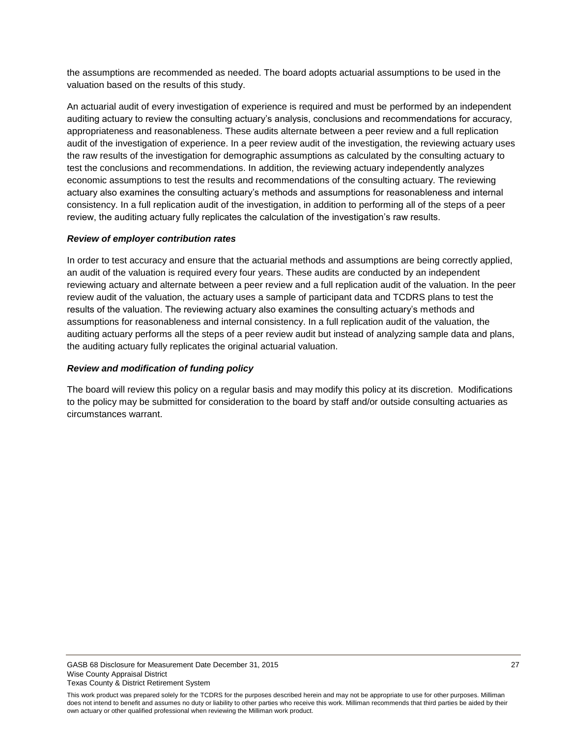the assumptions are recommended as needed. The board adopts actuarial assumptions to be used in the valuation based on the results of this study.

An actuarial audit of every investigation of experience is required and must be performed by an independent auditing actuary to review the consulting actuary's analysis, conclusions and recommendations for accuracy, appropriateness and reasonableness. These audits alternate between a peer review and a full replication audit of the investigation of experience. In a peer review audit of the investigation, the reviewing actuary uses the raw results of the investigation for demographic assumptions as calculated by the consulting actuary to test the conclusions and recommendations. In addition, the reviewing actuary independently analyzes economic assumptions to test the results and recommendations of the consulting actuary. The reviewing actuary also examines the consulting actuary's methods and assumptions for reasonableness and internal consistency. In a full replication audit of the investigation, in addition to performing all of the steps of a peer review, the auditing actuary fully replicates the calculation of the investigation's raw results.

### *Review of employer contribution rates*

In order to test accuracy and ensure that the actuarial methods and assumptions are being correctly applied, an audit of the valuation is required every four years. These audits are conducted by an independent reviewing actuary and alternate between a peer review and a full replication audit of the valuation. In the peer review audit of the valuation, the actuary uses a sample of participant data and TCDRS plans to test the results of the valuation. The reviewing actuary also examines the consulting actuary's methods and assumptions for reasonableness and internal consistency. In a full replication audit of the valuation, the auditing actuary performs all the steps of a peer review audit but instead of analyzing sample data and plans, the auditing actuary fully replicates the original actuarial valuation.

### *Review and modification of funding policy*

The board will review this policy on a regular basis and may modify this policy at its discretion. Modifications to the policy may be submitted for consideration to the board by staff and/or outside consulting actuaries as circumstances warrant.

This work product was prepared solely for the TCDRS for the purposes described herein and may not be appropriate to use for other purposes. Milliman does not intend to benefit and assumes no duty or liability to other parties who receive this work. Milliman recommends that third parties be aided by their own actuary or other qualified professional when reviewing the Milliman work product.